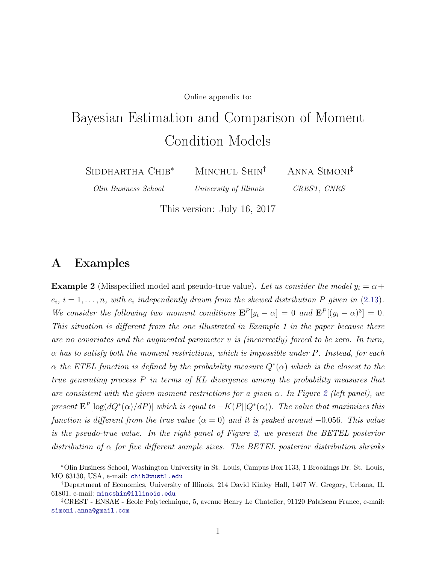Online appendix to:

# <span id="page-0-0"></span>Bayesian Estimation and Comparison of Moment Condition Models

Siddhartha Chib<sup>∗</sup>

MINCHUL SHIN<sup>†</sup>

Anna Simoni‡ CREST, CNRS

Olin Business School

University of Illinois

This version: July 16, 2017

## A Examples

**Example 2** (Misspecified model and pseudo-true value). Let us consider the model  $y_i = \alpha +$  $e_i$ ,  $i = 1, \ldots, n$ , with  $e_i$  independently drawn from the skewed distribution P given in [\(2.13\)](#page-5-0). We consider the following two moment conditions  $\mathbf{E}^P[y_i - \alpha] = 0$  and  $\mathbf{E}^P[(y_i - \alpha)^3] = 0$ . This situation is different from the one illustrated in Example 1 in the paper because there are no covariates and the augmented parameter  $v$  is (incorrectly) forced to be zero. In turn,  $\alpha$  has to satisfy both the moment restrictions, which is impossible under P. Instead, for each  $\alpha$  the ETEL function is defined by the probability measure  $Q^*(\alpha)$  which is the closest to the true generating process  $P$  in terms of  $KL$  divergence among the probability measures that are consistent with the given moment restrictions for a given  $\alpha$ . In Figure [2](#page-1-0) (left panel), we present  $\mathbf{E}^{P}[\log(dQ^*(\alpha)/dP)]$  which is equal to  $-K(P||Q^*(\alpha))$ . The value that maximizes this function is different from the true value  $(\alpha = 0)$  and it is peaked around  $-0.056$ . This value is the pseudo-true value. In the right panel of Figure [2,](#page-1-0) we present the BETEL posterior distribution of  $\alpha$  for five different sample sizes. The BETEL posterior distribution shrinks

<sup>∗</sup>Olin Business School, Washington University in St. Louis, Campus Box 1133, 1 Brookings Dr. St. Louis, MO 63130, USA, e-mail: <chib@wustl.edu>

<sup>†</sup>Department of Economics, University of Illinois, 214 David Kinley Hall, 1407 W. Gregory, Urbana, IL 61801, e-mail: <mincshin@illinois.edu>

<sup>‡</sup>CREST - ENSAE - École Polytechnique, 5, avenue Henry Le Chatelier, 91120 Palaiseau France, e-mail: <simoni.anna@gmail.com>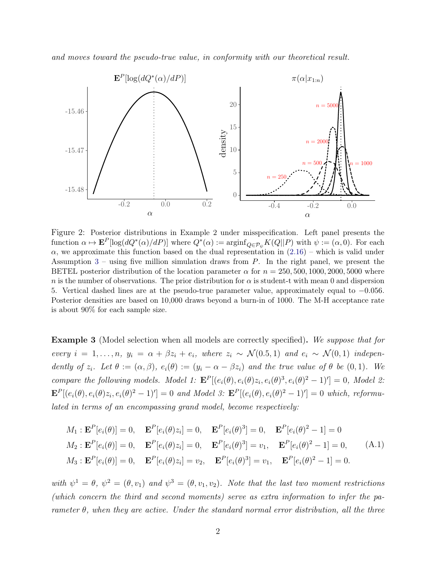and moves toward the pseudo-true value, in conformity with our theoretical result.

<span id="page-1-0"></span>

Figure 2: Posterior distributions in Example 2 under misspecification. Left panel presents the function  $\alpha \mapsto \mathbf{E}^{P}[\log(dQ^*(\alpha)/dP)]$  where  $Q^*(\alpha) := \operatorname{arginf}_{Q \in \mathcal{P}_{\psi}} K(Q||P)$  with  $\psi := (\alpha, 0)$ . For each  $\alpha$ , we approximate this function based on the dual representation in  $(2.16)$  – which is valid under Assumption  $3$  – using five million simulation draws from  $P$ . In the right panel, we present the BETEL posterior distribution of the location parameter  $\alpha$  for  $n = 250, 500, 1000, 2000, 5000$  where n is the number of observations. The prior distribution for  $\alpha$  is student-t with mean 0 and dispersion 5. Vertical dashed lines are at the pseudo-true parameter value, approximately equal to −0.056. Posterior densities are based on 10,000 draws beyond a burn-in of 1000. The M-H acceptance rate is about 90% for each sample size.

<span id="page-1-1"></span>**Example 3** (Model selection when all models are correctly specified). We suppose that for every  $i = 1, \ldots, n$ ,  $y_i = \alpha + \beta z_i + e_i$ , where  $z_i \sim \mathcal{N}(0.5, 1)$  and  $e_i \sim \mathcal{N}(0, 1)$  independently of  $z_i$ . Let  $\theta := (\alpha, \beta), e_i(\theta) := (y_i - \alpha - \beta z_i)$  and the true value of  $\theta$  be  $(0, 1)$ . We compare the following models. Model 1:  $\mathbf{E}^P[(e_i(\theta), e_i(\theta)z_i, e_i(\theta)^3, e_i(\theta)^2 - 1)] = 0$ , Model 2:  $\mathbf{E}^{P}[(e_i(\theta), e_i(\theta)z_i, e_i(\theta)^2 - 1)'] = 0$  and Model 3:  $\mathbf{E}^{P}[(e_i(\theta), e_i(\theta)^2 - 1)'] = 0$  which, reformulated in terms of an encompassing grand model, become respectively:

$$
M_1: \mathbf{E}^P[e_i(\theta)] = 0, \quad \mathbf{E}^P[e_i(\theta)z_i] = 0, \quad \mathbf{E}^P[e_i(\theta)^3] = 0, \quad \mathbf{E}^P[e_i(\theta)^2 - 1] = 0
$$
  
\n
$$
M_2: \mathbf{E}^P[e_i(\theta)] = 0, \quad \mathbf{E}^P[e_i(\theta)z_i] = 0, \quad \mathbf{E}^P[e_i(\theta)^3] = v_1, \quad \mathbf{E}^P[e_i(\theta)^2 - 1] = 0,
$$
  
\n
$$
M_3: \mathbf{E}^P[e_i(\theta)] = 0, \quad \mathbf{E}^P[e_i(\theta)z_i] = v_2, \quad \mathbf{E}^P[e_i(\theta)^3] = v_1, \quad \mathbf{E}^P[e_i(\theta)^2 - 1] = 0.
$$
\n(A.1)

with  $\psi^1 = \theta$ ,  $\psi^2 = (\theta, v_1)$  and  $\psi^3 = (\theta, v_1, v_2)$ . Note that the last two moment restrictions (which concern the third and second moments) serve as extra information to infer the parameter  $\theta$ , when they are active. Under the standard normal error distribution, all the three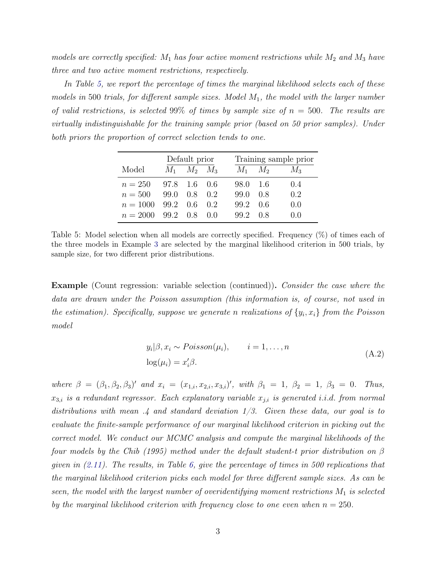models are correctly specified:  $M_1$  has four active moment restrictions while  $M_2$  and  $M_3$  have three and two active moment restrictions, respectively.

In Table [5,](#page-2-0) we report the percentage of times the marginal likelihood selects each of these models in 500 trials, for different sample sizes. Model  $M_1$ , the model with the larger number of valid restrictions, is selected 99% of times by sample size of  $n = 500$ . The results are virtually indistinguishable for the training sample prior (based on 50 prior samples). Under both priors the proportion of correct selection tends to one.

<span id="page-2-0"></span>

|            | Default prior |             | Training sample prior |      |             |       |
|------------|---------------|-------------|-----------------------|------|-------------|-------|
| Model      | $M_1$         | $M_2$ $M_3$ |                       |      | $M_1$ $M_2$ | $M_3$ |
| $n = 250$  | 97.8          | 1.6         | 0.6                   | 98.0 | - 1.6       | 0.4   |
| $n = 500$  | 99.0          | 0.8         | 0.2                   | 99.0 | 0.8         | 0.2   |
| $n = 1000$ | 99.2          | 0.6         | 0.2                   | 99.2 | 0.6         | 0.0   |
| $n = 2000$ | 99.2          | 0.8         | (1)                   | 99.2 | 0.8         | ()()  |

Table 5: Model selection when all models are correctly specified. Frequency (%) of times each of the three models in Example [3](#page-1-1) are selected by the marginal likelihood criterion in 500 trials, by sample size, for two different prior distributions.

Example (Count regression: variable selection (continued)). Consider the case where the data are drawn under the Poisson assumption (this information is, of course, not used in the estimation). Specifically, suppose we generate n realizations of  $\{y_i, x_i\}$  from the Poisson model

$$
y_i|\beta, x_i \sim Poisson(\mu_i), \qquad i = 1, ..., n
$$
  

$$
log(\mu_i) = x'_i \beta.
$$
 (A.2)

<span id="page-2-1"></span>where  $\beta = (\beta_1, \beta_2, \beta_3)'$  and  $x_i = (x_{1,i}, x_{2,i}, x_{3,i})'$ , with  $\beta_1 = 1, \beta_2 = 1, \beta_3 = 0$ . Thus,  $x_{3,i}$  is a redundant regressor. Each explanatory variable  $x_{j,i}$  is generated i.i.d. from normal distributions with mean  $.4$  and standard deviation  $1/3$ . Given these data, our goal is to evaluate the finite-sample performance of our marginal likelihood criterion in picking out the correct model. We conduct our MCMC analysis and compute the marginal likelihoods of the four models by the [Chib](#page-31-0) [\(1995\)](#page-31-0) method under the default student-t prior distribution on  $\beta$ given in  $(2.11)$ . The results, in Table [6,](#page-3-0) give the percentage of times in 500 replications that the marginal likelihood criterion picks each model for three different sample sizes. As can be seen, the model with the largest number of overidentifying moment restrictions  $M_1$  is selected by the marginal likelihood criterion with frequency close to one even when  $n = 250$ .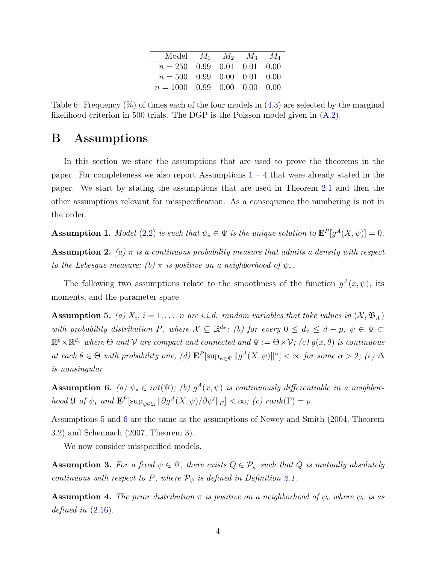| Model $M_1$ $M_2$ $M_3$ $M_4$  |  |  |
|--------------------------------|--|--|
| $n = 250$ 0.99 0.01 0.01 0.00  |  |  |
| $n = 500$ 0.99 0.00 0.01 0.00  |  |  |
| $n = 1000$ 0.99 0.00 0.00 0.00 |  |  |

<span id="page-3-0"></span>Table 6: Frequency  $(\%)$  of times each of the four models in  $(4.3)$  are selected by the marginal likelihood criterion in 500 trials. The DGP is the Poisson model given in [\(A.2\)](#page-2-1).

## B Assumptions

In this section we state the assumptions that are used to prove the theorems in the paper. For completeness we also report Assumptions  $1 - 4$  $1 - 4$  $1 - 4$  that were already stated in the paper. We start by stating the assumptions that are used in Theorem [2.1](#page-0-0) and then the other assumptions relevant for misspecification. As a consequence the numbering is not in the order.

**Assumption 1.** Model [\(2.2\)](#page-0-0) is such that  $\psi_* \in \Psi$  is the unique solution to  $\mathbf{E}^P[g^A(X,\psi)] = 0$ .

**Assumption 2.** (a)  $\pi$  is a continuous probability measure that admits a density with respect to the Lebesgue measure; (b)  $\pi$  is positive on a neighborhood of  $\psi_*$ .

The following two assumptions relate to the smoothness of the function  $g^{A}(x, \psi)$ , its moments, and the parameter space.

<span id="page-3-1"></span>**Assumption 5.** (a)  $X_i$ ,  $i = 1, ..., n$  are i.i.d. random variables that take values in  $(\mathcal{X}, \mathfrak{B}_{\mathcal{X}})$ with probability distribution P, where  $\mathcal{X} \subseteq \mathbb{R}^{d_x}$ ; (b) for every  $0 \leq d_v \leq d - p$ ,  $\psi \in \Psi$  $\mathbb{R}^p\times\mathbb{R}^{d_v}$  where  $\Theta$  and  $\mathcal V$  are compact and connected and  $\Psi:=\Theta\times\mathcal V$ ; (c)  $g(x,\theta)$  is continuous at each  $\theta \in \Theta$  with probability one; (d)  $\mathbf{E}^P[\sup_{\psi \in \Psi} ||g^A(X, \psi)||^{\alpha}] < \infty$  for some  $\alpha > 2$ ; (e)  $\Delta$ is nonsingular.

<span id="page-3-2"></span>**Assumption 6.** (a)  $\psi_* \in int(\Psi)$ ; (b)  $g^A(x, \psi)$  is continuously differentiable in a neighborhood  $\mathfrak U$  of  $\psi_*$  and  $\mathbf{E}^P[\sup_{\psi \in \mathfrak U} || \partial g^A(X, \psi) / \partial \psi' ||_F] < \infty$ ; (c) rank( $\Gamma) = p$ .

Assumptions [5](#page-3-1) and [6](#page-3-2) are the same as the assumptions of [Newey and Smith](#page-31-1) [\(2004,](#page-31-1) Theorem 3.2) and [Schennach](#page-31-2) [\(2007,](#page-31-2) Theorem 3).

We now consider misspecified models.

**Assumption 3.** For a fixed  $\psi \in \Psi$ , there exists  $Q \in \mathcal{P}_{\psi}$  such that Q is mutually absolutely continuous with respect to P, where  $\mathcal{P}_{\psi}$  is defined in Definition [2.1.](#page-0-0)

**Assumption 4.** The prior distribution  $\pi$  is positive on a neighborhood of  $\psi$ <sub>o</sub> where  $\psi$ <sub>o</sub> is as defined in  $(2.16)$ .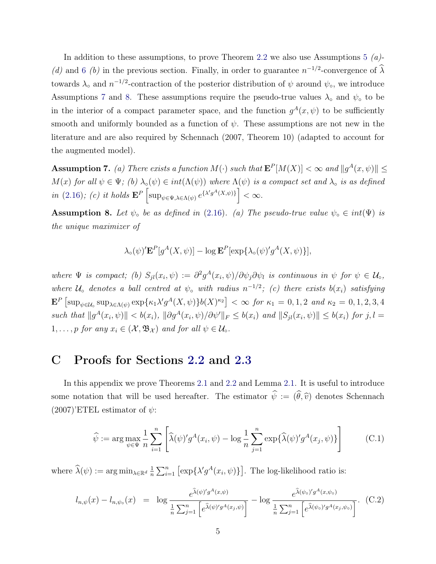In addition to these assumptions, to prove Theorem [2.2](#page-0-0) we also use Assumptions [5](#page-3-1)  $(a)$ -(d) and [6](#page-3-2) (b) in the previous section. Finally, in order to guarantee  $n^{-1/2}$ -convergence of  $\hat{\lambda}$ towards  $\lambda_0$  and  $n^{-1/2}$ -contraction of the posterior distribution of  $\psi$  around  $\psi_0$ , we introduce Assumptions [7](#page-4-1) and [8.](#page-4-2) These assumptions require the pseudo-true values  $\lambda_0$  and  $\psi_0$  to be in the interior of a compact parameter space, and the function  $g^{A}(x, \psi)$  to be sufficiently smooth and uniformly bounded as a function of  $\psi$ . These assumptions are not new in the literature and are also required by [Schennach](#page-31-2) [\(2007,](#page-31-2) Theorem 10) (adapted to account for the augmented model).

<span id="page-4-1"></span>**Assumption 7.** (a) There exists a function  $M(\cdot)$  such that  $\mathbf{E}^{P}[M(X)] < \infty$  and  $||g^{A}(x, \psi)|| \le$  $M(x)$  for all  $\psi \in \Psi$ ; (b)  $\lambda_{\circ}(\psi) \in int(\Lambda(\psi))$  where  $\Lambda(\psi)$  is a compact set and  $\lambda_{\circ}$  is as defined in [\(2.16\)](#page-0-0); (c) it holds  $\mathbf{E}^P \left[ \sup_{\psi \in \Psi, \lambda \in \Lambda(\psi)} e^{\{\lambda' g^A(X, \psi)\}} \right] < \infty.$ 

<span id="page-4-2"></span>Assumption 8. Let  $\psi_{\circ}$  be as defined in [\(2.16\)](#page-0-0). (a) The pseudo-true value  $\psi_{\circ} \in int(\Psi)$  is the unique maximizer of

$$
\lambda_{\circ}(\psi)^{\prime} \mathbf{E}^{P}[g^{A}(X,\psi)] - \log \mathbf{E}^{P}[\exp\{\lambda_{\circ}(\psi)^{\prime} g^{A}(X,\psi)\}],
$$

where  $\Psi$  is compact; (b)  $S_{jl}(x_i, \psi) := \frac{\partial^2 g^A(x_i, \psi)}{\partial \psi_j \partial \psi_l}$  is continuous in  $\psi$  for  $\psi \in \mathcal{U}_0$ , where  $\mathcal{U}_\text{o}$  denotes a ball centred at  $\psi_\text{o}$  with radius  $n^{-1/2}$ ; (c) there exists  $b(x_i)$  satisfying  $\mathbf{E}^P \left[ \sup_{\psi \in \mathcal{U}_0} \sup_{\lambda \in \Lambda(\psi)} \exp \{ \kappa_1 \lambda' g^A(X, \psi) \} b(X)^{\kappa_2} \right] < \infty$  for  $\kappa_1 = 0, 1, 2$  and  $\kappa_2 = 0, 1, 2, 3, 4$ such that  $||g^A(x_i, \psi)|| < b(x_i)$ ,  $||\partial g^A(x_i, \psi)/\partial \psi'||_F \leq b(x_i)$  and  $||S_{jl}(x_i, \psi)|| \leq b(x_i)$  for  $j, l =$ 1, ..., p for any  $x_i \in (\mathcal{X}, \mathfrak{B}_{\mathcal{X}})$  and for all  $\psi \in \mathcal{U}_\circ$ .

## C Proofs for Sections [2.2](#page-0-0) and [2.3](#page-0-0)

In this appendix we prove Theorems [2.1](#page-0-0) and [2.2](#page-0-0) and Lemma [2.1.](#page-0-0) It is useful to introduce some notation that will be used hereafter. The estimator  $\hat{\psi} := (\hat{\theta}, \hat{v})$  denotes [Schennach](#page-31-2)  $(2007)$ <sup>'</sup>ETEL estimator of  $\psi$ :

<span id="page-4-0"></span>
$$
\widehat{\psi} := \arg \max_{\psi \in \Psi} \frac{1}{n} \sum_{i=1}^{n} \left[ \widehat{\lambda}(\psi)' g^A(x_i, \psi) - \log \frac{1}{n} \sum_{j=1}^{n} \exp \{ \widehat{\lambda}(\psi)' g^A(x_j, \psi) \} \right]
$$
(C.1)

where  $\widehat{\lambda}(\psi) := \arg \min_{\lambda \in \mathbb{R}^d} \frac{1}{n}$  $\frac{1}{n} \sum_{i=1}^{n} \left[ \exp\{\lambda' g^A(x_i, \psi)\} \right]$ . The log-likelihood ratio is:

$$
l_{n,\psi}(x) - l_{n,\psi_0}(x) = \log \frac{e^{\hat{\lambda}(\psi)'g^A(x,\psi)}}{\frac{1}{n}\sum_{j=1}^n \left[e^{\hat{\lambda}(\psi)'g^A(x_j,\psi)}\right]} - \log \frac{e^{\hat{\lambda}(\psi_0)'g^A(x,\psi_0)}}{\frac{1}{n}\sum_{j=1}^n \left[e^{\hat{\lambda}(\psi_0)'g^A(x_j,\psi_0)}\right]}.
$$
 (C.2)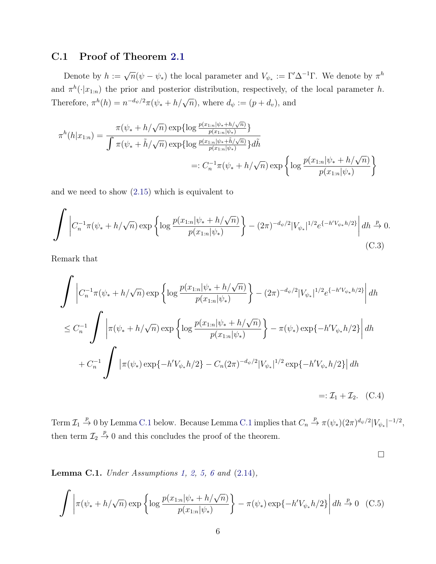### C.1 Proof of Theorem [2.1](#page-0-0)

Denote by  $h := \sqrt{n}(\psi - \psi_*)$  the local parameter and  $V_{\psi_*} := \Gamma' \Delta^{-1} \Gamma$ . We denote by  $\pi^h$ and  $\pi^h(\cdot|x_{1:n})$  the prior and posterior distribution, respectively, of the local parameter h. Therefore,  $\pi^{h}(h) = n^{-d_{\psi}/2}\pi(\psi_* + h/\sqrt{n})$ , where  $d_{\psi} := (p + d_{\psi})$ , and

$$
\pi^{h}(h|x_{1:n}) = \frac{\pi(\psi_{*} + h/\sqrt{n}) \exp\{\log \frac{p(x_{1:n}|\psi_{*} + h/\sqrt{n})}{p(x_{1:n}|\psi_{*})}\}}{\int \pi(\psi_{*} + \tilde{h}/\sqrt{n}) \exp\{\log \frac{p(x_{1:n}|\psi_{*} + \tilde{h}/\sqrt{n})}{p(x_{1:n}|\psi_{*})}\}d\tilde{h}}
$$
  

$$
=: C_{n}^{-1}\pi(\psi_{*} + h/\sqrt{n}) \exp\left\{\log \frac{p(x_{1:n}|\psi_{*} + h/\sqrt{n})}{p(x_{1:n}|\psi_{*})}\right\}
$$

and we need to show [\(2.15\)](#page-8-0) which is equivalent to

<span id="page-5-0"></span>
$$
\int \left| C_n^{-1} \pi(\psi_* + h/\sqrt{n}) \exp \left\{ \log \frac{p(x_{1:n}|\psi_* + h/\sqrt{n})}{p(x_{1:n}|\psi_*)} \right\} - (2\pi)^{-d_{\psi}/2} |V_{\psi_*}|^{1/2} e^{\{-h'V_{\psi_*}h/2\}} \right| dh \xrightarrow{p} 0.
$$
\n(C.3)

Remark that

$$
\int \left| C_n^{-1} \pi(\psi_* + h/\sqrt{n}) \exp \left\{ \log \frac{p(x_{1:n}|\psi_* + h/\sqrt{n})}{p(x_{1:n}|\psi_*)} \right\} - (2\pi)^{-d_{\psi}/2} |V_{\psi_*}|^{1/2} e^{\{-h'V_{\psi_*}h/2\}} \right| dh
$$
  
\n
$$
\leq C_n^{-1} \int \left| \pi(\psi_* + h/\sqrt{n}) \exp \left\{ \log \frac{p(x_{1:n}|\psi_* + h/\sqrt{n})}{p(x_{1:n}|\psi_*)} \right\} - \pi(\psi_*) \exp \{-h'V_{\psi_*}h/2\} \right| dh
$$
  
\n
$$
+ C_n^{-1} \int \left| \pi(\psi_*) \exp \{-h'V_{\psi_*}h/2\} - C_n (2\pi)^{-d_{\psi}/2} |V_{\psi_*}|^{1/2} \exp \{-h'V_{\psi_*}h/2\} \right| dh
$$
  
\n
$$
=: \mathcal{I}_1 + \mathcal{I}_2. \quad \text{(C.4)}
$$

Term  $\mathcal{I}_1 \stackrel{p}{\to} 0$  by Lemma [C.1](#page-5-1) below. Because Lemma C.1 implies that  $C_n \stackrel{p}{\to} \pi(\psi_*)(2\pi)^{d_{\psi}/2} |V_{\psi_*}|^{-1/2}$ , then term  $\mathcal{I}_2 \stackrel{p}{\rightarrow} 0$  and this concludes the proof of the theorem.

 $\Box$ 

<span id="page-5-1"></span>**Lemma C.1.** Under Assumptions [1,](#page-0-0) [2,](#page-0-0) [5,](#page-3-1) [6](#page-3-2) and  $(2.14)$ ,

<span id="page-5-2"></span>
$$
\int \left| \pi(\psi_* + h/\sqrt{n}) \exp \left\{ \log \frac{p(x_{1:n}|\psi_* + h/\sqrt{n})}{p(x_{1:n}|\psi_*)} \right\} - \pi(\psi_*) \exp \{-h'V_{\psi_*}h/2 \} \right| dh \stackrel{p}{\to} 0 \quad (C.5)
$$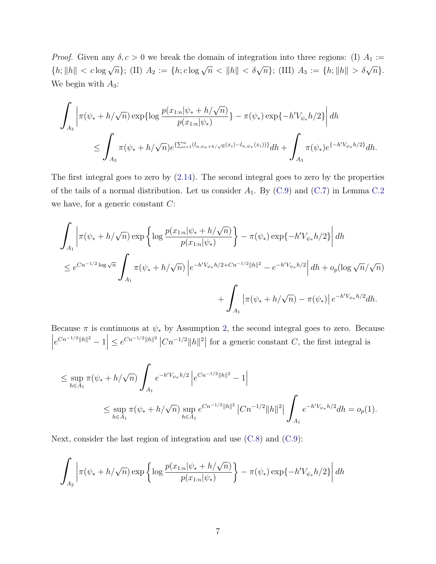*Proof.* Given any  $\delta, c > 0$  we break the domain of integration into three regions: (I)  $A_1 :=$  ${h; \|h\| < c \log \sqrt{n}};$  (II)  $A_2 := {h; c \log \sqrt{n} < \|h\| < \delta \sqrt{n}};$  (III)  $A_3 := {h; \|h\| > \delta \sqrt{n}}.$ We begin with  $A_3$ :

$$
\int_{A_3} \left| \pi(\psi_* + h/\sqrt{n}) \exp\{\log \frac{p(x_{1:n}|\psi_* + h/\sqrt{n})}{p(x_{1:n}|\psi_*)}\} - \pi(\psi_*) \exp\{-h'V_{\psi_*}h/2\} \right| dh
$$
  

$$
\leq \int_{A_3} \pi(\psi_* + h/\sqrt{n}) e^{\{\sum_{i=1}^n (l_{n,\psi_* + h/\sqrt{n}}(x_i) - l_{n,\psi_*}(x_i))\}} dh + \int_{A_3} \pi(\psi_*) e^{\{-h'V_{\psi_*}h/2\}} dh.
$$

The first integral goes to zero by [\(2.14\)](#page-7-0). The second integral goes to zero by the properties of the tails of a normal distribution. Let us consider  $A_1$ . By [\(C.9\)](#page-8-0) and [\(C.7\)](#page-7-1) in Lemma [C.2](#page-7-2) we have, for a generic constant  $C$ :

$$
\int_{A_1} \left| \pi(\psi_* + h/\sqrt{n}) \exp \left\{ \log \frac{p(x_{1:n}|\psi_* + h/\sqrt{n})}{p(x_{1:n}|\psi_*)} \right\} - \pi(\psi_*) \exp \{-h'V_{\psi_*}h/2\} \right| dh
$$
  

$$
\leq e^{Cn^{-1/2} \log \sqrt{n}} \int_{A_1} \pi(\psi_* + h/\sqrt{n}) \left| e^{-h'V_{\psi_*}h/2 + Cn^{-1/2} ||h||^2} - e^{-h'V_{\psi_*}h/2} \right| dh + o_p(\log \sqrt{n}/\sqrt{n})
$$
  

$$
+ \int_{A_1} \left| \pi(\psi_* + h/\sqrt{n}) - \pi(\psi_*) \right| e^{-h'V_{\psi_*}h/2} dh.
$$

Because  $\pi$  is continuous at  $\psi_*$  by Assumption [2,](#page-0-0) the second integral goes to zero. Because  $\begin{array}{c} \begin{array}{c} \begin{array}{c} \end{array} \\ \begin{array}{c} \end{array} \end{array} \end{array}$  $e^{Cn^{-1/2}||h||^2} - 1$   $\leq e^{Cn^{-1/2}||h||^2} |Cn^{-1/2}||h||^2$  for a generic constant C, the first integral is

$$
\leq \sup_{h \in A_1} \pi(\psi_* + h/\sqrt{n}) \int_{A_1} e^{-h'V_{\psi_*}h/2} \left| e^{Cn^{-1/2}||h||^2} - 1 \right|
$$
  

$$
\leq \sup_{h \in A_1} \pi(\psi_* + h/\sqrt{n}) \sup_{h \in A_1} e^{Cn^{-1/2}||h||^2} \left| Cn^{-1/2}||h||^2 \right| \int_{A_1} e^{-h'V_{\psi_*}h/2} dh = o_p(1).
$$

Next, consider the last region of integration and use [\(C.8\)](#page-7-0) and [\(C.9\)](#page-8-0):

$$
\int_{A_2} \left| \pi(\psi_* + h/\sqrt{n}) \exp\left\{ \log \frac{p(x_{1:n}|\psi_* + h/\sqrt{n})}{p(x_{1:n}|\psi_*)} \right\} - \pi(\psi_*) \exp\{-h'V_{\psi_*}h/2\} \right| dh
$$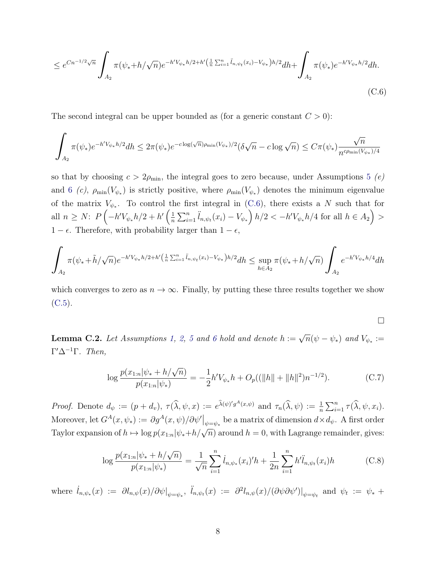$$
\leq e^{Cn^{-1/2}\sqrt{n}} \int_{A_2} \pi(\psi_* + h/\sqrt{n}) e^{-h'V_{\psi_*}h/2 + h'(\frac{1}{n}\sum_{i=1}^n \ddot{l}_{n,\psi_t}(x_i) - V_{\psi_*})h/2} dh + \int_{A_2} \pi(\psi_*) e^{-h'V_{\psi_*}h/2} dh.
$$
\n(C.6)

The second integral can be upper bounded as (for a generic constant  $C > 0$ ):

$$
\int_{A_2} \pi(\psi_*) e^{-h' V_{\psi_*} h/2} dh \leq 2 \pi(\psi_*) e^{-c \log(\sqrt{n}) \rho_{\min}(V_{\psi_*})/2} (\delta \sqrt{n} - c \log \sqrt{n}) \leq C \pi(\psi_*) \frac{\sqrt{n}}{n^{c \rho_{\min}(V_{\psi_*})/4}}
$$

so that by choosing  $c > 2\rho_{\min}$ , the integral goes to zero because, under Assumptions [5](#page-3-1) (e) and [6](#page-3-2) (c),  $\rho_{\min}(V_{\psi_*})$  is strictly positive, where  $\rho_{\min}(V_{\psi_*})$  denotes the minimum eigenvalue of the matrix  $V_{\psi^*}$ . To control the first integral in [\(C.6\)](#page-7-3), there exists a N such that for all  $n \geq N$ :  $P\left(-h'V_{\psi_*}h/2 + h'\left(\frac{1}{n}\right)\right)$  $\frac{1}{n}\sum_{i=1}^{n} \ddot{l}_{n,\psi_t}(x_i) - V_{\psi_*}\right) h/2 < -h'V_{\psi_*}h/4$  for all  $h \in A_2$ ) >  $1 - \epsilon$ . Therefore, with probability larger than  $1 - \epsilon$ ,

$$
\int_{A_2} \pi(\psi_* + \tilde{h}/\sqrt{n}) e^{-h'V_{\psi_*}h/2 + h'(\frac{1}{n}\sum_{i=1}^n \tilde{l}_{n,\psi_t}(x_i) - V_{\psi_*})h/2} dh \le \sup_{h \in A_2} \pi(\psi_* + h/\sqrt{n}) \int_{A_2} e^{-h'V_{\psi_*}h/4} dh
$$

which converges to zero as  $n \to \infty$ . Finally, by putting these three results together we show  $(C.5)$ .

<span id="page-7-3"></span>
$$
\Box
$$

<span id="page-7-2"></span>**Lemma C.2.** Let Assumptions [1,](#page-0-0) [2,](#page-0-0) [5](#page-3-1) and [6](#page-3-2) hold and denote  $h := \sqrt{n}(\psi - \psi_*)$  and  $V_{\psi_*} :=$  $\Gamma' \Delta^{-1}$ Γ. Then,

<span id="page-7-1"></span>
$$
\log \frac{p(x_{1:n}|\psi_* + h/\sqrt{n})}{p(x_{1:n}|\psi_*)} = -\frac{1}{2}h'V_{\psi_*}h + O_p((\|h\| + \|h\|^2)n^{-1/2}).\tag{C.7}
$$

Proof. Denote  $d_{\psi} := (p + d_{\nu}), \ \tau(\widehat{\lambda}, \psi, x) := e^{\widehat{\lambda}(\psi)'g^A(x, \psi)}$  and  $\tau_n(\widehat{\lambda}, \psi) := \frac{1}{n} \sum_{i=1}^n \tau(\widehat{\lambda}, \psi, x_i)$ . Moreover, let  $G^A(x, \psi_*) := \partial g^A(x, \psi) / \partial \psi' |_{\psi = \psi_*}$  be a matrix of dimension  $d \times d_{\psi}$ . A first order Taylor expansion of  $h \mapsto \log p(x_{1:n}|\psi_*+h/\sqrt{n})$  around  $h = 0$ , with Lagrange remainder, gives:

<span id="page-7-0"></span>
$$
\log \frac{p(x_{1:n}|\psi_* + h/\sqrt{n})}{p(x_{1:n}|\psi_*)} = \frac{1}{\sqrt{n}} \sum_{i=1}^n \dot{l}_{n,\psi_*}(x_i)' h + \frac{1}{2n} \sum_{i=1}^n h'\ddot{l}_{n,\psi_t}(x_i) h \tag{C.8}
$$

where  $\hat{l}_{n,\psi_*}(x) := \partial l_{n,\psi}(x) / \partial \psi \vert_{\psi = \psi_*}, \ \hat{l}_{n,\psi_t}(x) := \partial^2 l_{n,\psi}(x) / (\partial \psi \partial \psi') \vert_{\psi = \psi_t}$  and  $\psi_t := \psi_* +$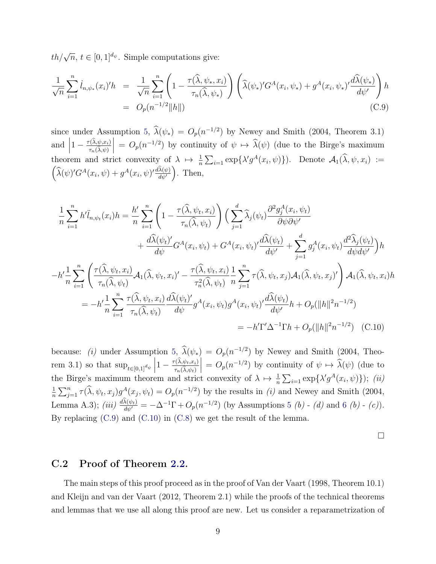$th/\sqrt{n}, t \in [0, 1]^{d_{\psi}}$ . Simple computations give:

<span id="page-8-0"></span>
$$
\frac{1}{\sqrt{n}} \sum_{i=1}^{n} \dot{l}_{n,\psi_*}(x_i)' h = \frac{1}{\sqrt{n}} \sum_{i=1}^{n} \left( 1 - \frac{\tau(\hat{\lambda}, \psi_*, x_i)}{\tau_n(\hat{\lambda}, \psi_*)} \right) \left( \hat{\lambda}(\psi_*)' G^A(x_i, \psi_*) + g^A(x_i, \psi_*)' \frac{d\hat{\lambda}(\psi_*)}{d\psi'} \right) h
$$
  
=  $O_p(n^{-1/2} ||h||)$  (C.9)

since under Assumption [5,](#page-3-1)  $\hat{\lambda}(\psi_*) = O_p(n^{-1/2})$  by [Newey and Smith](#page-31-1) [\(2004,](#page-31-1) Theorem 3.1) and  $\left|1 - \frac{\tau(\hat{\lambda}, \psi, x_i)}{\tau_n(\hat{\lambda}, \psi)}\right| = O_p(n^{-1/2})$  by continuity of  $\psi \mapsto \hat{\lambda}(\psi)$  (due to the Birge's maximum  $\int_{0}^{\infty} \tau_n(\lambda,\psi)$ theorem and strict convexity of  $\lambda \mapsto \frac{1}{n} \sum_{i=1} \exp{\{\lambda' g^A(x_i, \psi)\}}$ . Denote  $\mathcal{A}_1(\widehat{\lambda}, \psi, x_i) :=$  $\left(\widehat{\lambda}(\psi)'G^A(x_i, \psi) + g^A(x_i, \psi)' \frac{d\widehat{\lambda}(\psi)}{d\psi'}\right)$ . Then,

$$
\frac{1}{n}\sum_{i=1}^{n} h' \ddot{l}_{n,\psi_t}(x_i) h = \frac{h'}{n} \sum_{i=1}^{n} \left( 1 - \frac{\tau(\hat{\lambda}, \psi_t, x_i)}{\tau_n(\hat{\lambda}, \psi_t)} \right) \left( \sum_{j=1}^{d} \hat{\lambda}_j(\psi_t) \frac{\partial^2 g_j^A(x_i, \psi_t)}{\partial \psi \partial \psi'} + \frac{d\hat{\lambda}(\psi_t)'}{d\psi} G^A(x_i, \psi_t) + G^A(x_i, \psi_t) \frac{d\hat{\lambda}(\psi_t)}{d\psi'} + \sum_{j=1}^{d} g_j^A(x_i, \psi_t) \frac{d^2\hat{\lambda}_j(\psi_t)}{d\psi d\psi'} \right) h
$$
\n
$$
-h' \frac{1}{n} \sum_{i=1}^{n} \left( \frac{\tau(\hat{\lambda}, \psi_t, x_i)}{\tau_n(\hat{\lambda}, \psi_t)} \mathcal{A}_1(\hat{\lambda}, \psi_t, x_i)' - \frac{\tau(\hat{\lambda}, \psi_t, x_i)}{\tau_n^2(\hat{\lambda}, \psi_t)} \frac{1}{n} \sum_{j=1}^{n} \tau(\hat{\lambda}, \psi_t, x_j) \mathcal{A}_1(\hat{\lambda}, \psi_t, x_j)' \right) \mathcal{A}_1(\hat{\lambda}, \psi_t, x_i) h
$$
\n
$$
= -h' \frac{1}{n} \sum_{i=1}^{n} \frac{\tau(\hat{\lambda}, \psi_t, x_i)}{\tau_n(\hat{\lambda}, \psi_t)} \frac{d\hat{\lambda}(\psi_t)'}{d\psi} g^A(x_i, \psi_t) g^A(x_i, \psi_t)' \frac{d\hat{\lambda}(\psi_t)}{d\psi'} h + O_p(\Vert h \Vert^2 n^{-1/2})
$$
\n
$$
= -h' \Gamma' \Delta^{-1} \Gamma h + O_p(\Vert h \Vert^2 n^{-1/2}) \quad \text{(C.10)}
$$

because: (i) under Assumption [5,](#page-3-1)  $\hat{\lambda}(\psi_*) = O_p(n^{-1/2})$  by [Newey and Smith](#page-31-1) [\(2004,](#page-31-1) Theorem 3.1) so that  $\sup_{t\in[0,1]^{d_{\psi}}}$  $1-\frac{\tau(\lambda,\psi_t,x_i)}{\tau(\hat{\lambda},\psi_t)}$  $\tau_n(\lambda, \psi_t)$  $= O_p(n^{-1/2})$  by continuity of  $\psi \mapsto \hat{\lambda}(\psi)$  (due to the Birge's maximum theorem and strict convexity of  $\lambda \mapsto \frac{1}{n} \sum_{i=1} \exp\{\lambda' g^A(x_i, \psi)\}\;$ ; (ii) 1  $\frac{1}{n}\sum_{j=1}^n \tau(\widehat{\lambda}, \psi_t, x_j) g^A(x_j, \psi_t) = O_p(n^{-1/2})$  by the results in (i) and [Newey and Smith](#page-31-1) [\(2004,](#page-31-1) Lemma A.3); (iii)  $\frac{d\lambda(\psi_t)}{d\psi'} = -\Delta^{-1}\Gamma + O_p(n^{-1/2})$  (by Assumptions [5](#page-3-1) (b) - (d) and [6](#page-3-2) (b) - (c)). By replacing [\(C.9\)](#page-8-0) and [\(C.10\)](#page-8-1) in [\(C.8\)](#page-7-0) we get the result of the lemma.

<span id="page-8-1"></span> $\Box$ 

## C.2 Proof of Theorem [2.2.](#page-0-0)

The main steps of this proof proceed as in the proof of [Van der Vaart](#page-32-0) [\(1998,](#page-32-0) Theorem 10.1) and [Kleijn and van der Vaart](#page-31-3) [\(2012,](#page-31-3) Theorem 2.1) while the proofs of the technical theorems and lemmas that we use all along this proof are new. Let us consider a reparametrization of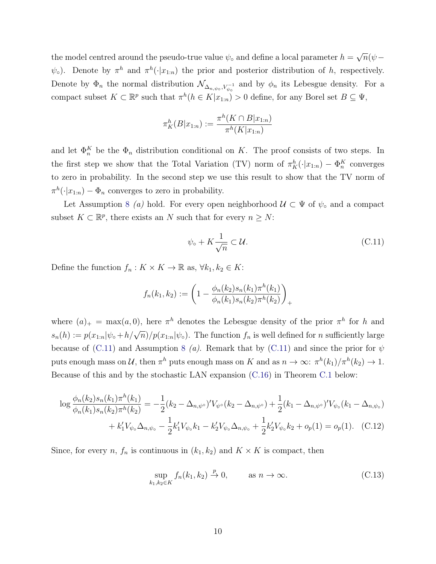the model centred around the pseudo-true value  $\psi_{\circ}$  and define a local parameter  $h =$ √  $\overline{n}(\psi \psi_{\circ}$ ). Denote by  $\pi^h$  and  $\pi^h(\cdot|x_{1:n})$  the prior and posterior distribution of h, respectively. Denote by  $\Phi_n$  the normal distribution  $\mathcal{N}_{\Delta_{n,\psi_0}, V_{\psi_0}^{-1}}$  and by  $\phi_n$  its Lebesgue density. For a compact subset  $K \subset \mathbb{R}^p$  such that  $\pi^h(h \in K | x_{1:n}) > 0$  define, for any Borel set  $B \subseteq \Psi$ ,

$$
\pi_K^h(B|x_{1:n}) := \frac{\pi^h(K \cap B|x_{1:n})}{\pi^h(K|x_{1:n})}
$$

and let  $\Phi_n^K$  be the  $\Phi_n$  distribution conditional on K. The proof consists of two steps. In the first step we show that the Total Variation (TV) norm of  $\pi_K^h(\cdot|x_{1:n}) - \Phi_n^K$  converges to zero in probability. In the second step we use this result to show that the TV norm of  $\pi^h(\cdot|x_{1:n}) - \Phi_n$  converges to zero in probability.

Let Assumption [8](#page-4-2) (a) hold. For every open neighborhood  $\mathcal{U} \subset \Psi$  of  $\psi_{\circ}$  and a compact subset  $K \subset \mathbb{R}^p$ , there exists an N such that for every  $n \geq N$ :

<span id="page-9-0"></span>
$$
\psi_{\circ} + K \frac{1}{\sqrt{n}} \subset \mathcal{U}.\tag{C.11}
$$

Define the function  $f_n: K \times K \to \mathbb{R}$  as,  $\forall k_1, k_2 \in K$ :

$$
f_n(k_1, k_2) := \left(1 - \frac{\phi_n(k_2) s_n(k_1) \pi^h(k_1)}{\phi_n(k_1) s_n(k_2) \pi^h(k_2)}\right)_+
$$

where  $(a)_+ = \max(a, 0)$ , here  $\pi^h$  denotes the Lebesgue density of the prior  $\pi^h$  for h and  $s_n(h) := p(x_{1:n}|\psi_\circ + h/\sqrt{n})/p(x_{1:n}|\psi_\circ)$ . The function  $f_n$  is well defined for n sufficiently large because of [\(C.11\)](#page-9-0) and Assumption [8](#page-4-2) (a). Remark that by (C.11) and since the prior for  $\psi$ puts enough mass on U, then  $\pi^h$  puts enough mass on K and as  $n \to \infty$ :  $\pi^h(k_1)/\pi^h(k_2) \to 1$ . Because of this and by the stochastic LAN expansion [\(C.16\)](#page-11-0) in Theorem [C.1](#page-11-1) below:

$$
\log \frac{\phi_n(k_2) s_n(k_1) \pi^h(k_1)}{\phi_n(k_1) s_n(k_2) \pi^h(k_2)} = -\frac{1}{2} (k_2 - \Delta_{n,\psi^{\circ}})' V_{\psi^{\circ}}(k_2 - \Delta_{n,\psi^{\circ}}) + \frac{1}{2} (k_1 - \Delta_{n,\psi^{\circ}})' V_{\psi_{\circ}}(k_1 - \Delta_{n,\psi_{\circ}})
$$

$$
+ k_1' V_{\psi_{\circ}} \Delta_{n,\psi_{\circ}} - \frac{1}{2} k_1' V_{\psi_{\circ}} k_1 - k_2' V_{\psi_{\circ}} \Delta_{n,\psi_{\circ}} + \frac{1}{2} k_2' V_{\psi_{\circ}} k_2 + o_p(1) = o_p(1). \quad (C.12)
$$

Since, for every n,  $f_n$  is continuous in  $(k_1, k_2)$  and  $K \times K$  is compact, then

<span id="page-9-1"></span>
$$
\sup_{k_1,k_2 \in K} f_n(k_1,k_2) \stackrel{p}{\to} 0, \qquad \text{as } n \to \infty.
$$
 (C.13)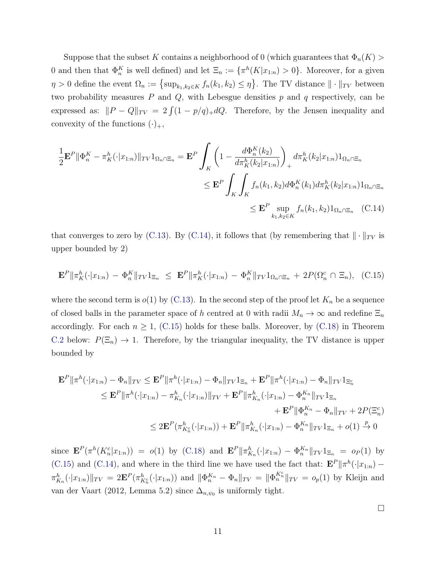Suppose that the subset K contains a neighborhood of 0 (which guarantees that  $\Phi_n(K)$ ) 0 and then that  $\Phi_n^K$  is well defined) and let  $\Xi_n := {\{\pi^h(K|x_{1:n}) > 0\}}$ . Moreover, for a given  $\eta > 0$  define the event  $\Omega_n := \{\sup_{k_1,k_2 \in K} f_n(k_1,k_2) \leq \eta\}$ . The TV distance  $\|\cdot\|_{TV}$  between two probability measures  $P$  and  $Q$ , with Lebesgue densities  $p$  and  $q$  respectively, can be expressed as:  $||P - Q||_{TV} = 2 \int (1 - p/q)_{+} dQ$ . Therefore, by the Jensen inequality and convexity of the functions  $(\cdot)_+,$ 

<span id="page-10-0"></span>
$$
\frac{1}{2} \mathbf{E}^{P} \| \Phi_{n}^{K} - \pi_{K}^{h}(\cdot | x_{1:n}) \|_{TV} 1_{\Omega_{n} \cap \Xi_{n}} = \mathbf{E}^{P} \int_{K} \left( 1 - \frac{d \Phi_{n}^{K}(k_{2})}{d \pi_{K}^{h}(k_{2} | x_{1:n})} \right)_{+} d \pi_{K}^{h}(k_{2} | x_{1:n}) 1_{\Omega_{n} \cap \Xi_{n}} \n\leq \mathbf{E}^{P} \int_{K} \int_{K} f_{n}(k_{1}, k_{2}) d \Phi_{n}^{K}(k_{1}) d \pi_{K}^{h}(k_{2} | x_{1:n}) 1_{\Omega_{n} \cap \Xi_{n}} \n\leq \mathbf{E}^{P} \sup_{k_{1}, k_{2} \in K} f_{n}(k_{1}, k_{2}) 1_{\Omega_{n} \cap \Xi_{n}} \quad \text{(C.14)}
$$

that converges to zero by [\(C.13\)](#page-9-1). By [\(C.14\)](#page-10-0), it follows that (by remembering that  $\|\cdot\|_{TV}$  is upper bounded by 2)

$$
\mathbf{E}^{P} \|\pi_{K}^{h}(\cdot|x_{1:n}) - \Phi_{n}^{K}\|_{TV} 1_{\Xi_{n}} \leq \mathbf{E}^{P} \|\pi_{K}^{h}(\cdot|x_{1:n}) - \Phi_{n}^{K}\|_{TV} 1_{\Omega_{n} \cap \Xi_{n}} + 2P(\Omega_{n}^{c} \cap \Xi_{n}), \quad (C.15)
$$

where the second term is  $o(1)$  by [\(C.13\)](#page-9-1). In the second step of the proof let  $K_n$  be a sequence of closed balls in the parameter space of h centred at 0 with radii  $M_n \to \infty$  and redefine  $\Xi_n$ accordingly. For each  $n \geq 1$ , [\(C.15\)](#page-10-1) holds for these balls. Moreover, by [\(C.18\)](#page-11-2) in Theorem [C.2](#page-11-3) below:  $P(\Xi_n) \to 1$ . Therefore, by the triangular inequality, the TV distance is upper bounded by

$$
\mathbf{E}^{P} \|\pi^{h}(\cdot|x_{1:n}) - \Phi_{n}\|_{TV} \leq \mathbf{E}^{P} \|\pi^{h}(\cdot|x_{1:n}) - \Phi_{n}\|_{TV} \mathbf{1}_{\Xi_{n}} + \mathbf{E}^{P} \|\pi^{h}(\cdot|x_{1:n}) - \Phi_{n}\|_{TV} \mathbf{1}_{\Xi_{n}^{c}}
$$
  
\n
$$
\leq \mathbf{E}^{P} \|\pi^{h}(\cdot|x_{1:n}) - \pi^{h}_{K_{n}}(\cdot|x_{1:n})\|_{TV} + \mathbf{E}^{P} \|\pi^{h}_{K_{n}}(\cdot|x_{1:n}) - \Phi^{K_{n}}_{n}\|_{TV} \mathbf{1}_{\Xi_{n}} + \mathbf{E}^{P} \|\Phi^{K_{n}}_{n} - \Phi_{n}\|_{TV} + 2P(\Xi_{n}^{c})
$$
  
\n
$$
\leq 2\mathbf{E}^{P} (\pi^{h}_{K_{n}^{c}}(\cdot|x_{1:n})) + \mathbf{E}^{P} \|\pi^{h}_{K_{n}}(\cdot|x_{1:n}) - \Phi^{K_{n}}_{n}\|_{TV} \mathbf{1}_{\Xi_{n}} + o(1) \xrightarrow{p} 0
$$

since  $\mathbf{E}^P(\pi^h(K_n^c|x_{1:n})) = o(1)$  by [\(C.18\)](#page-11-2) and  $\mathbf{E}^P\|\pi_{K_n}^h(\cdot|x_{1:n}) - \Phi_n^{K_n}\|_{TV}1_{\Xi_n} = o_P(1)$  by [\(C.15\)](#page-10-1) and [\(C.14\)](#page-10-0), and where in the third line we have used the fact that:  $\mathbf{E}^{P} \|\pi^h(\cdot|x_{1:n}) \pi_{K_n}^h(\cdot|x_{1:n})\|_{TV} = 2\mathbf{E}^P(\pi_{K_n^c}^h(\cdot|x_{1:n}))$  and  $\|\Phi_n^{K_n} - \Phi_n\|_{TV} = \|\Phi_n^{K_n^c}\|_{TV} = o_p(1)$  by [Kleijn and](#page-31-3) [van der Vaart](#page-31-3) [\(2012,](#page-31-3) Lemma 5.2) since  $\Delta_{n,\psi_0}$  is uniformly tight.

<span id="page-10-1"></span> $\Box$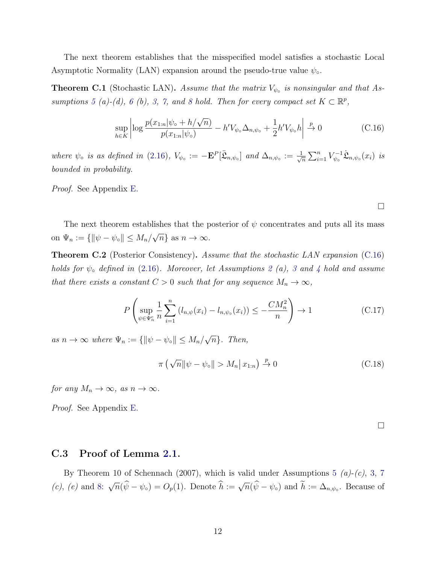The next theorem establishes that the misspecified model satisfies a stochastic Local Asymptotic Normality (LAN) expansion around the pseudo-true value  $\psi_{\circ}$ .

<span id="page-11-1"></span>**Theorem C.1** (Stochastic LAN). Assume that the matrix  $V_{\psi}$  is nonsingular and that As-sumptions [5](#page-3-1) (a)-(d), [6](#page-3-2) (b), [3,](#page-0-0) [7,](#page-4-1) and [8](#page-4-2) hold. Then for every compact set  $K \subset \mathbb{R}^p$ ,

<span id="page-11-0"></span>
$$
\sup_{h \in K} \left| \log \frac{p(x_{1:n}|\psi_{\circ} + h/\sqrt{n})}{p(x_{1:n}|\psi_{\circ})} - h'V_{\psi_{\circ}}\Delta_{n,\psi_{\circ}} + \frac{1}{2}h'V_{\psi_{\circ}}h \right| \xrightarrow{p} 0 \tag{C.16}
$$

where  $\psi_{\circ}$  is as defined in [\(2.16\)](#page-0-0),  $V_{\psi_{\circ}} := -\mathbf{E}^{P}[\ddot{\mathfrak{L}}_{n,\psi_{\circ}}]$  and  $\Delta_{n,\psi_{\circ}} := \frac{1}{\sqrt{n}}$  $\frac{1}{n} \sum_{i=1}^n V_{\psi_0}^{-1}$  $\psi_{\circ}^{-1}\dot{\mathfrak{L}}_{n,\psi_{\circ}}(x_i)$  is bounded in probability.

Proof. See Appendix [E.](#page-17-0)

The next theorem establishes that the posterior of  $\psi$  concentrates and puts all its mass on  $\Psi_n := \{\|\psi - \psi_\circ\| \le M_n/\}$ √  $\overline{n}$  as  $n \to \infty$ .

<span id="page-11-3"></span>**Theorem C.2** (Posterior Consistency). Assume that the stochastic LAN expansion [\(C.16\)](#page-11-0) holds for  $\psi_{\circ}$  defined in [\(2.16\)](#page-0-0). Moreover, let Assumptions [2](#page-0-0) (a), [3](#page-0-0) and [4](#page-0-0) hold and assume that there exists a constant  $C > 0$  such that for any sequence  $M_n \to \infty$ ,

<span id="page-11-4"></span>
$$
P\left(\sup_{\psi \in \Psi_n^c} \frac{1}{n} \sum_{i=1}^n (l_{n,\psi}(x_i) - l_{n,\psi_0}(x_i)) \le -\frac{CM_n^2}{n}\right) \to 1
$$
 (C.17)

as  $n \to \infty$  where  $\Psi_n := \{ ||\psi - \psi_{\circ}|| \leq M_n / \}$ √  $\overline{n}$ . Then,

<span id="page-11-2"></span>
$$
\pi\left(\sqrt{n}\|\psi-\psi_{\circ}\|>M_{n}\right)x_{1:n}\right)\stackrel{p}{\to}0
$$
\n(C.18)

for any  $M_n \to \infty$ , as  $n \to \infty$ .

Proof. See Appendix [E.](#page-17-0)

 $\Box$ 

#### C.3 Proof of Lemma [2.1.](#page-0-0)

By Theorem 10 of [Schennach](#page-31-2) [\(2007\)](#page-31-2), which is valid under Assumptions [5](#page-3-1)  $(a)-(c)$ , [3,](#page-0-0) [7](#page-4-1)  $(c)$ ,  $(e)$  and [8:](#page-4-2)  $\sqrt{n}(\widehat{\psi}-\psi_0)=O_p(1)$ . Denote  $\widehat{h}:=\sqrt{n}(\widehat{\psi}-\psi_0)$  and  $\widehat{h}:=\Delta_{n,\psi_0}$ . Because of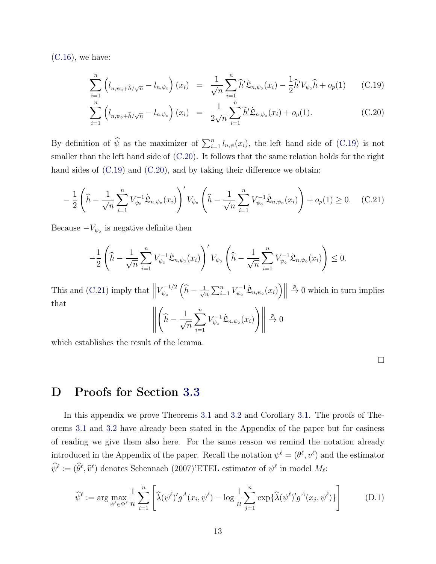$(C.16)$ , we have:

<span id="page-12-0"></span>
$$
\sum_{i=1}^{n} \left( l_{n,\psi_{\circ} + \widehat{h}/\sqrt{n}} - l_{n,\psi_{\circ}} \right) (x_i) = \frac{1}{\sqrt{n}} \sum_{i=1}^{n} \widehat{h}' \dot{\mathfrak{L}}_{n,\psi_{\circ}} (x_i) - \frac{1}{2} \widehat{h}' V_{\psi_{\circ}} \widehat{h} + o_p(1) \qquad (C.19)
$$

$$
\sum_{i=1}^{n} \left( l_{n,\psi_{\circ} + \tilde{h}/\sqrt{n}} - l_{n,\psi_{\circ}} \right) (x_i) = \frac{1}{2\sqrt{n}} \sum_{i=1}^{n} \tilde{h}' \dot{\mathfrak{L}}_{n,\psi_{\circ}} (x_i) + o_p(1). \tag{C.20}
$$

By definition of  $\hat{\psi}$  as the maximizer of  $\sum_{i=1}^{n} l_{n,\psi}(x_i)$ , the left hand side of [\(C.19\)](#page-12-0) is not smaller than the left hand side of [\(C.20\)](#page-12-0). It follows that the same relation holds for the right hand sides of  $(C.19)$  and  $(C.20)$ , and by taking their difference we obtain:

<span id="page-12-1"></span>
$$
-\frac{1}{2}\left(\widehat{h} - \frac{1}{\sqrt{n}}\sum_{i=1}^{n}V_{\psi_{\circ}}^{-1}\dot{\mathfrak{L}}_{n,\psi_{\circ}}(x_i)\right)'V_{\psi_{\circ}}\left(\widehat{h} - \frac{1}{\sqrt{n}}\sum_{i=1}^{n}V_{\psi_{\circ}}^{-1}\dot{\mathfrak{L}}_{n,\psi_{\circ}}(x_i)\right) + o_p(1) \ge 0. \quad (C.21)
$$

Because  $-V_{\psi_0}$  is negative definite then

$$
-\frac{1}{2}\left(\widehat{h} - \frac{1}{\sqrt{n}}\sum_{i=1}^n V_{\psi_\circ}^{-1} \dot{\mathfrak{L}}_{n,\psi_\circ}(x_i)\right)' V_{\psi_\circ}\left(\widehat{h} - \frac{1}{\sqrt{n}}\sum_{i=1}^n V_{\psi_\circ}^{-1} \dot{\mathfrak{L}}_{n,\psi_\circ}(x_i)\right) \leq 0.
$$

This and  $(C.21)$  imply that  $\parallel$  $V_{\psi_{2}}^{-1/2}$  $_{\psi_\circ}^{\cdot-1/2}\Big(\widehat h -\frac{1}{\sqrt{\pi}}$  $\frac{1}{n}\sum_{i=1}^n V_{\psi_0}^{-1}$  $\mathcal{L}_{\psi_{\circ}}^{-1}\dot{\mathfrak{L}}_{n,\psi_{\circ}}(x_i)\Big)\Big\|_2$  $\stackrel{p}{\rightarrow} 0$  which in turn implies that

$$
\left\| \left( \widehat{h} - \frac{1}{\sqrt{n}} \sum_{i=1}^{n} V_{\psi_{\circ}}^{-1} \dot{\mathfrak{L}}_{n,\psi_{\circ}}(x_i) \right) \right\| \stackrel{p}{\to} 0
$$

which establishes the result of the lemma.

 $\Box$ 

## D Proofs for Section [3.3](#page-0-0)

In this appendix we prove Theorems [3.1](#page-0-0) and [3.2](#page-0-0) and Corollary [3.1.](#page-0-0) The proofs of Theorems [3.1](#page-0-0) and [3.2](#page-0-0) have already been stated in the Appendix of the paper but for easiness of reading we give them also here. For the same reason we remind the notation already introduced in the Appendix of the paper. Recall the notation  $\psi^{\ell} = (\theta^{\ell}, v^{\ell})$  and the estimator  $\widehat{\psi}^{\ell} := (\widehat{\theta}^{\ell}, \widehat{v}^{\ell})$  denotes [Schennach](#page-31-2) [\(2007\)](#page-31-2)'ETEL estimator of  $\psi^{\ell}$  in model  $M_{\ell}$ :

$$
\widehat{\psi}^{\ell} := \arg \max_{\psi^{\ell} \in \Psi^{\ell}} \frac{1}{n} \sum_{i=1}^{n} \left[ \widehat{\lambda}(\psi^{\ell})' g^{A}(x_i, \psi^{\ell}) - \log \frac{1}{n} \sum_{j=1}^{n} \exp \{ \widehat{\lambda}(\psi^{\ell})' g^{A}(x_j, \psi^{\ell}) \} \right]
$$
(D.1)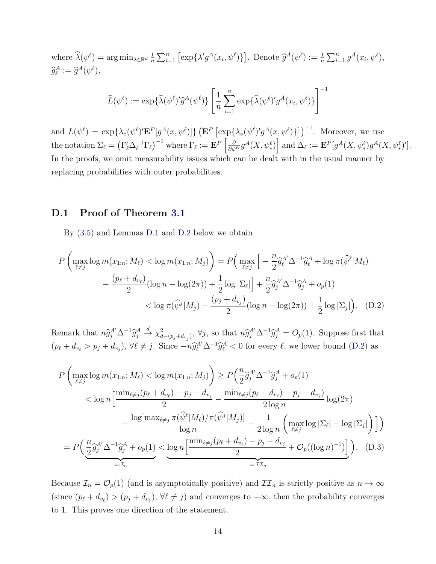where  $\widehat{\lambda}(\psi^{\ell}) = \arg \min_{\lambda \in \mathbb{R}^d} \frac{1}{n}$  $\frac{1}{n}\sum_{i=1}^n [\exp\{\lambda'g^A(x_i,\psi^\ell)\}].$  Denote  $\widehat{g}^A(\psi^\ell) := \frac{1}{n}\sum_{i=1}^n g^A(x_i,\psi^\ell),$  $\widehat{g}_{\ell}^{A} := \widehat{g}^{A}(\psi^{\ell}),$ 

$$
\widehat{L}(\psi^{\ell}) := \exp\{\widehat{\lambda}(\psi^{\ell})'\widehat{g}^{A}(\psi^{\ell})\} \left[\frac{1}{n}\sum_{i=1}^{n} \exp\{\widehat{\lambda}(\psi^{\ell})'g^{A}(x_i, \psi^{\ell})\}\right]^{-1}
$$

and  $L(\psi^{\ell}) = \exp\{\lambda_o(\psi^{\ell})' \mathbf{E}^P[g^A(x, \psi^{\ell})]\} (\mathbf{E}^P [\exp\{\lambda_o(\psi^{\ell})' g^A(x, \psi^{\ell})\}])^{-1}$ . Moreover, we use  $\text{the notation }\Sigma_\ell=\left(\Gamma_\ell'\Delta_\ell^{-1}\Gamma_\ell\right)^{-1}\text{ where }\Gamma_\ell:=\mathbf{E}^P\left[\frac{\partial}{\partial\psi^{\ell'}}g^A(X,\psi_*^\ell)\right] \text{ and }\Delta_\ell:=\mathbf{E}^P[g^A(X,\psi_*^\ell)g^A(X,\psi_*^\ell)']\text{.}$ In the proofs, we omit measurability issues which can be dealt with in the usual manner by replacing probabilities with outer probabilities.

#### D.1 Proof of Theorem [3.1](#page-0-0)

<span id="page-13-1"></span>By [\(3.5\)](#page-13-0) and Lemmas [D.1](#page-16-0) and [D.2](#page-16-1) below we obtain

$$
P\left(\max_{\ell \neq j} \log m(x_{1:n}; M_{\ell}) < \log m(x_{1:n}; M_j)\right) = P\left(\max_{\ell \neq j} \left[-\frac{n}{2} \hat{g}_{\ell}^{A'} \Delta^{-1} \hat{g}_{\ell}^{A} + \log \pi(\hat{\psi}^{\ell} | M_{\ell})\right] - \frac{(p_{\ell} + d_{v_{\ell}})}{2} (\log n - \log(2\pi)) + \frac{1}{2} \log |\Sigma_{\ell}| + \frac{n}{2} \hat{g}_{j}^{A'} \Delta^{-1} \hat{g}_{j}^{A} + o_{p}(1) \le \log \pi(\hat{\psi}^{j} | M_{j}) - \frac{(p_{j} + d_{v_{j}})}{2} (\log n - \log(2\pi)) + \frac{1}{2} \log |\Sigma_{j}| \right). \quad (D.2)
$$

Remark that  $n\hat{g}_j^{A'}\Delta^{-1}\hat{g}_j^{A}$  $\stackrel{d}{\rightarrow} \chi^2_{d-(p_j+d_{v_j})}, \forall j$ , so that  $n\widehat{g}_j^{A'}\Delta^{-1}\widehat{g}_j^A = O_p(1)$ . Suppose first that  $(p_{\ell} + d_{v_{\ell}} > p_j + d_{v_j}), \forall \ell \neq j.$  Since  $-n\hat{g}_{\ell}^{A'}\Delta^{-1}\hat{g}_{\ell}^{A} < 0$  for every  $\ell$ , we lower bound [\(D.2\)](#page-13-1) as

<span id="page-13-0"></span>
$$
P\left(\max_{\ell \neq j} \log m(x_{1:n}; M_{\ell}) < \log m(x_{1:n}; M_j)\right) \geq P\left(\frac{n}{2}\hat{g}_{j}^{A'}\Delta^{-1}\hat{g}_{j}^{A} + o_{p}(1)\n\right) \n
$$
< \log n\left[\frac{\min_{\ell \neq j}(p_{\ell} + d_{v_{\ell}}) - p_{j} - d_{v_{j}}}{2} - \frac{\min_{\ell \neq j}(p_{\ell} + d_{v_{\ell}}) - p_{j} - d_{v_{j}}}{2\log n}\right] \log(2\pi) - \frac{\log[\max_{\ell \neq j} \pi(\hat{\psi}^{\ell}|M_{\ell})/\pi(\hat{\psi}^{j}|M_{j})]}{\log n} - \frac{1}{2\log n}\left(\max_{\ell \neq j} \log |\Sigma_{\ell}| - \log |\Sigma_{j}|\right)\right)
$$
\n
$$
= P\left(\underbrace{\frac{n}{2}\hat{g}_{j}^{A'}\Delta^{-1}\hat{g}_{j}^{A} + o_{p}(1)}_{=: \mathcal{I}_{n}} < \underbrace{\log n\left[\frac{\min_{\ell \neq j}(p_{\ell} + d_{v_{\ell}}) - p_{j} - d_{v_{j}}}{2} + \mathcal{O}_{p}((\log n)^{-1})\right]}_{=: \mathcal{I}_{n}}\right). (D.3)
$$
$$

Because  $\mathcal{I}_n = \mathcal{O}_p(1)$  (and is asymptotically positive) and  $\mathcal{II}_n$  is strictly positive as  $n \to \infty$ (since  $(p_\ell + d_{v_\ell}) > (p_j + d_{v_j}), \forall \ell \neq j$ ) and converges to  $+\infty$ , then the probability converges to 1. This proves one direction of the statement.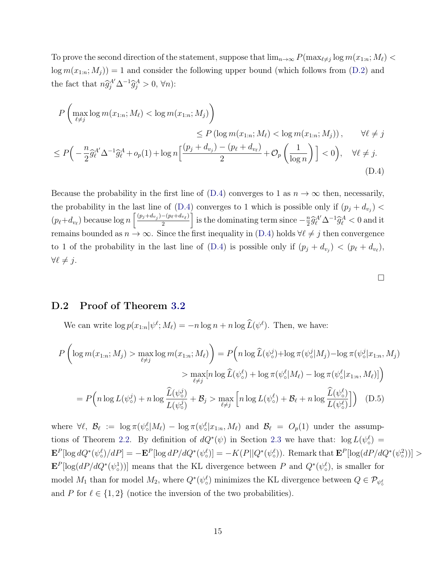To prove the second direction of the statement, suppose that  $\lim_{n\to\infty} P(\max_{\ell\neq j}\log m(x_{1:n}; M_{\ell})$  $\log m(x_{1:n}; M_j) = 1$  and consider the following upper bound (which follows from [\(D.2\)](#page-13-1) and the fact that  $n\hat{g}_j^{A'}\Delta^{-1}\hat{g}_j^A > 0, \forall n$ :

$$
P\left(\max_{\ell \neq j} \log m(x_{1:n}; M_{\ell}) < \log m(x_{1:n}; M_{j})\right) \leq P\left(\log m(x_{1:n}; M_{\ell}) < \log m(x_{1:n}; M_{j})\right), \qquad \forall \ell \neq j
$$
\n
$$
\leq P\left(-\frac{n}{2}\widehat{g}_{\ell}^{A'}\Delta^{-1}\widehat{g}_{\ell}^{A} + o_{p}(1) + \log n\left[\frac{(p_{j} + d_{v_{j}}) - (p_{\ell} + d_{v_{\ell}})}{2} + \mathcal{O}_{p}\left(\frac{1}{\log n}\right)\right] < 0\right), \quad \forall \ell \neq j.
$$
\n(D.4)

Because the probability in the first line of  $(D.4)$  converges to 1 as  $n \to \infty$  then, necessarily, the probability in the last line of  $(D.4)$  converges to 1 which is possible only if  $(p_j + d_{v_j})$  $(p_{\ell}+d_{v_{\ell}})$  because  $\log n \left[ \frac{(p_j+d_{v_j})-(p_{\ell}+d_{v_{\ell}})}{2} \right]$  $\left[\frac{-(p_\ell+d_{v_\ell})}{2}\right]$  is the dominating term since  $-\frac{n}{2}$  $\frac{m}{2} \widehat{g}_{\ell}^{A'} \Delta^{-1} \widehat{g}_{\ell}^{A} < 0$  and it remains bounded as  $n \to \infty$ . Since the first inequality in [\(D.4\)](#page-14-0) holds  $\forall \ell \neq j$  then convergence to 1 of the probability in the last line of [\(D.4\)](#page-14-0) is possible only if  $(p_j + d_{v_j}) < (p_\ell + d_{v_\ell}),$  $\forall \ell \neq j.$ 

<span id="page-14-1"></span><span id="page-14-0"></span>

#### D.2 Proof of Theorem [3.2](#page-0-0)

We can write  $\log p(x_{1:n}|\psi^{\ell};M_{\ell}) = -n \log n + n \log \widehat{L}(\psi^{\ell})$ . Then, we have:

$$
P\left(\log m(x_{1:n};M_j) > \max_{\ell \neq j} \log m(x_{1:n};M_\ell)\right) = P\left(n \log \widehat{L}(\psi_o^j) + \log \pi(\psi_o^j | M_j) - \log \pi(\psi_o^j | x_{1:n}, M_j)\right)
$$

$$
> \max_{\ell \neq j} [n \log \widehat{L}(\psi_o^{\ell}) + \log \pi(\psi_o^{\ell} | M_\ell) - \log \pi(\psi_o^{\ell} | x_{1:n}, M_\ell)]\right)
$$

$$
= P\left(n \log L(\psi_o^j) + n \log \frac{\widehat{L}(\psi_o^j)}{L(\psi_o^j)} + \mathcal{B}_j > \max_{\ell \neq j} \left[n \log L(\psi_o^{\ell}) + \mathcal{B}_\ell + n \log \frac{\widehat{L}(\psi_o^{\ell})}{L(\psi_o^{\ell})}\right]\right) \quad (D.5)
$$

where  $\forall \ell, \; \mathcal{B}_\ell := \log \pi(\psi_\circ^{\ell} | M_\ell) - \log \pi(\psi_\circ^{\ell} | x_{1:n}, M_\ell)$  and  $\mathcal{B}_\ell = O_p(1)$  under the assump-tions of Theorem [2.2.](#page-0-0) By definition of  $dQ^*(\psi)$  in Section [2.3](#page-0-0) we have that:  $\log L(\psi^{\ell}_{\circ}) =$  $\mathbf{E}^{P}[\log dQ^{*}(\psi_{\circ}^{\ell})/dP] = -\mathbf{E}^{P}[\log dP/dQ^{*}(\psi_{\circ}^{\ell})] = -K(P||Q^{*}(\psi_{\circ}^{\ell}))$ . Remark that  $\mathbf{E}^{P}[\log (dP/dQ^{*}(\psi_{\circ}^{2}))] >$  $\mathbf{E}^{P}[\log(dP/dQ^*(\psi_o^1))]$  means that the KL divergence between P and  $Q^*(\psi_o^{\ell})$ , is smaller for model  $M_1$  than for model  $M_2$ , where  $Q^*(\psi^{\ell}_\circ)$  minimizes the KL divergence between  $Q \in \mathcal{P}_{\psi^{\ell}_\circ}$ and P for  $\ell \in \{1, 2\}$  (notice the inversion of the two probabilities).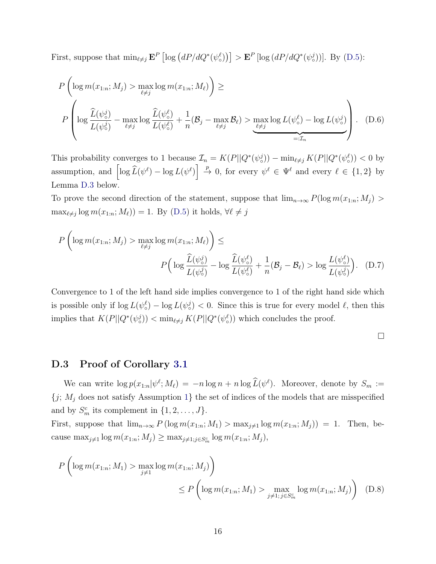First, suppose that  $\min_{\ell \neq j} \mathbf{E}^P \left[ \log \left( dP/dQ^*(\psi^{\ell}_o) \right) \right] > \mathbf{E}^P \left[ \log \left( dP/dQ^*(\psi^j_o) \right) \right]$ . By [\(D.5\)](#page-14-1):

$$
P\left(\log m(x_{1:n}; M_j) > \max_{\ell \neq j} \log m(x_{1:n}; M_\ell)\right) \ge
$$
  

$$
P\left(\log \frac{\widehat{L}(\psi_o^j)}{L(\psi_o^j)} - \max_{\ell \neq j} \log \frac{\widehat{L}(\psi_o^{\ell})}{L(\psi_o^{\ell})} + \frac{1}{n}(\mathcal{B}_j - \max_{\ell \neq j} \mathcal{B}_\ell) > \max_{\ell \neq j} \log L(\psi_o^{\ell}) - \log L(\psi_o^j)\right).
$$
 (D.6)

This probability converges to 1 because  $\mathcal{I}_n = K(P||Q^*(\psi_o^j)) - \min_{\ell \neq j} K(P||Q^*(\psi_o^{\ell})) < 0$  by assumption, and  $\left[\log \widehat{L}(\psi^{\ell}) - \log L(\psi^{\ell})\right] \stackrel{p}{\to} 0$ , for every  $\psi^{\ell} \in \Psi^{\ell}$  and every  $\ell \in \{1,2\}$  by Lemma [D.3](#page-17-1) below.

To prove the second direction of the statement, suppose that  $\lim_{n\to\infty} P(\log m(x_{1:n}; M_i) >$  $\max_{\ell \neq j} \log m(x_{1:n}; M_{\ell}) = 1$ . By [\(D.5\)](#page-14-1) it holds,  $\forall \ell \neq j$ 

$$
P\left(\log m(x_{1:n}; M_j) > \max_{\ell \neq j} \log m(x_{1:n}; M_\ell)\right) \le
$$

$$
P\left(\log \frac{\widehat{L}(\psi_o^j)}{L(\psi_o^j)} - \log \frac{\widehat{L}(\psi_o^{\ell})}{L(\psi_o^{\ell})} + \frac{1}{n}(\mathcal{B}_j - \mathcal{B}_\ell) > \log \frac{L(\psi_o^{\ell})}{L(\psi_o^j)}\right). \quad (D.7)
$$

Convergence to 1 of the left hand side implies convergence to 1 of the right hand side which is possible only if  $\log L(\psi^{\ell}_{\circ}) - \log L(\psi^j_{\circ}) < 0$ . Since this is true for every model  $\ell$ , then this implies that  $K(P||Q^*(\psi_o^j)) < \min_{\ell \neq j} K(P||Q^*(\psi_o^{\ell}))$  which concludes the proof.

 $\Box$ 

#### D.3 Proof of Corollary [3.1](#page-0-0)

We can write  $\log p(x_{1:n}|\psi^{\ell};M_{\ell}) = -n \log n + n \log \widehat{L}(\psi^{\ell})$ . Moreover, denote by  $S_m :=$  ${j; M_j}$  does not satisfy Assumption [1](#page-0-0)} the set of indices of the models that are misspecified and by  $S_m^c$  its complement in  $\{1, 2, \ldots, J\}$ .

First, suppose that  $\lim_{n\to\infty} P(\log m(x_{1:n}; M_1) > \max_{j\neq 1} \log m(x_{1:n}; M_j)) = 1$ . Then, because  $\max_{j\neq 1} \log m(x_{1:n}; M_j) \geq \max_{j\neq 1; j\in S_m^c} \log m(x_{1:n}; M_j),$ 

$$
P\left(\log m(x_{1:n}; M_1) > \max_{j \neq 1} \log m(x_{1:n}; M_j)\right) \le P\left(\log m(x_{1:n}; M_1) > \max_{j \neq 1; j \in S_m^c} \log m(x_{1:n}; M_j)\right) \quad (D.8)
$$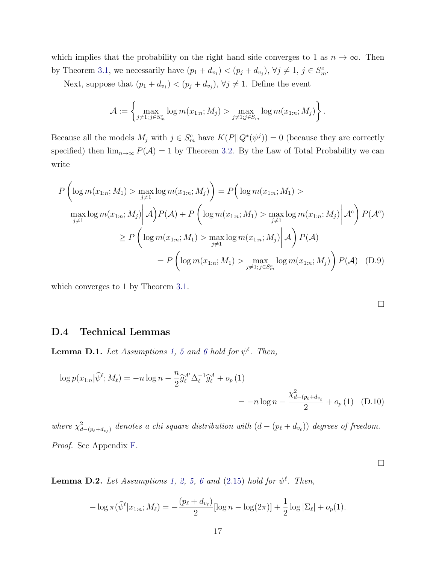which implies that the probability on the right hand side converges to 1 as  $n \to \infty$ . Then by Theorem [3.1,](#page-0-0) we necessarily have  $(p_1 + d_{v_1}) < (p_j + d_{v_j}), \forall j \neq 1, j \in S_m^c$ .

Next, suppose that  $(p_1 + d_{v_1}) < (p_j + d_{v_j}), \forall j \neq 1$ . Define the event

$$
\mathcal{A} := \left\{ \max_{j \neq 1; j \in S_m^c} \log m(x_{1:n}; M_j) > \max_{j \neq 1; j \in S_m} \log m(x_{1:n}; M_j) \right\}.
$$

Because all the models  $M_j$  with  $j \in S_m^c$  have  $K(P||Q^*(\psi^j)) = 0$  (because they are correctly specified) then  $\lim_{n\to\infty} P(\mathcal{A}) = 1$  by Theorem [3.2.](#page-0-0) By the Law of Total Probability we can write

$$
P\left(\log m(x_{1:n}; M_1) > \max_{j \neq 1} \log m(x_{1:n}; M_j)\right) = P\left(\log m(x_{1:n}; M_1) > \max_{j \neq 1} \log m(x_{1:n}; M_j) \middle| \mathcal{A}\right) P(\mathcal{A}) + P\left(\log m(x_{1:n}; M_1) > \max_{j \neq 1} \log m(x_{1:n}; M_j) \middle| \mathcal{A}^c\right) P(\mathcal{A}^c)
$$
  

$$
\geq P\left(\log m(x_{1:n}; M_1) > \max_{j \neq 1} \log m(x_{1:n}; M_j) \middle| \mathcal{A}\right) P(\mathcal{A})
$$
  

$$
= P\left(\log m(x_{1:n}; M_1) > \max_{j \neq 1, j \in S_m^c} \log m(x_{1:n}; M_j) \right) P(\mathcal{A}) \quad (D.9)
$$

which converges to 1 by Theorem [3.1.](#page-0-0)

 $\Box$ 

#### D.4 Technical Lemmas

<span id="page-16-0"></span>**Lemma D.1.** Let Assumptions [1,](#page-0-0) [5](#page-3-1) and [6](#page-3-2) hold for  $\psi^{\ell}$ . Then,

$$
\log p(x_{1:n}|\widehat{\psi}^{\ell}; M_{\ell}) = -n \log n - \frac{n}{2} \widehat{g}_{\ell}^{A'} \Delta_{\ell}^{-1} \widehat{g}_{\ell}^{A} + o_{p}(1)
$$
  
= 
$$
-n \log n - \frac{\chi_{d-(p_{\ell}+d_{v_{\ell}})}^{2}}{2} + o_{p}(1)
$$
 (D.10)

where  $\chi^2_{d-(p_\ell+d_{v_\ell})}$  denotes a chi square distribution with  $(d-(p_\ell+d_{v_\ell}))$  degrees of freedom. Proof. See Appendix [F.](#page-25-0)

<span id="page-16-1"></span>**Lemma D.2.** Let Assumptions [1,](#page-0-0) [2,](#page-0-0) [5,](#page-3-1) [6](#page-3-2) and  $(2.15)$  hold for  $\psi^{\ell}$ . Then,

$$
-\log \pi(\widehat{\psi}^{\ell}|x_{1:n};M_{\ell}) = -\frac{(p_{\ell}+d_{v_{\ell}})}{2}[\log n - \log(2\pi)] + \frac{1}{2}\log|\Sigma_{\ell}| + o_p(1).
$$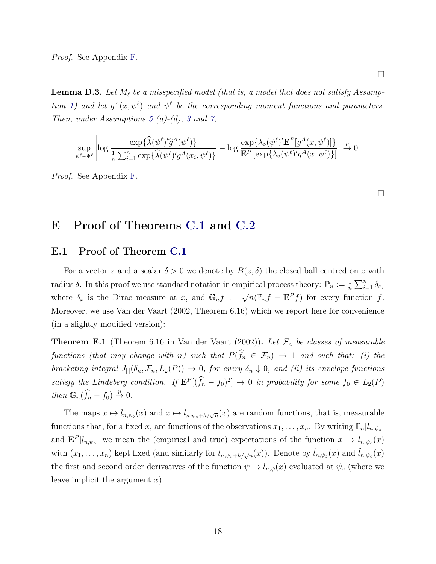Proof. See Appendix [F.](#page-25-0)

<span id="page-17-1"></span>**Lemma D.3.** Let  $M_\ell$  be a misspecified model (that is, a model that does not satisfy Assump-tion [1\)](#page-0-0) and let  $g^A(x, \psi^{\ell})$  and  $\psi^{\ell}$  be the corresponding moment functions and parameters. Then, under Assumptions [5](#page-3-1) (a)-(d), [3](#page-0-0) and [7,](#page-4-1)

$$
\sup_{\psi^{\ell} \in \Psi^{\ell}} \left| \log \frac{\exp\{\widehat{\lambda}(\psi^{\ell})' \widehat{g}^{A}(\psi^{\ell})\}}{\frac{1}{n} \sum_{i=1}^{n} \exp\{\widehat{\lambda}(\psi^{\ell})' g^{A}(x_i, \psi^{\ell})\}} - \log \frac{\exp\{\lambda_{\circ}(\psi^{\ell})' \mathbf{E}^{P}[g^{A}(x, \psi^{\ell})]\}}{\mathbf{E}^{P}[\exp\{\lambda_{\circ}(\psi^{\ell})' g^{A}(x, \psi^{\ell})\}]}\right| \xrightarrow{p} 0.
$$

Proof. See Appendix [F.](#page-25-0)

 $\Box$ 

 $\Box$ 

## <span id="page-17-0"></span>E Proof of Theorems [C.1](#page-11-1) and [C.2](#page-11-3)

#### E.1 Proof of Theorem [C.1](#page-11-1)

For a vector z and a scalar  $\delta > 0$  we denote by  $B(z, \delta)$  the closed ball centred on z with radius  $\delta$ . In this proof we use standard notation in empirical process theory:  $\mathbb{P}_n := \frac{1}{n} \sum_{i=1}^n \delta_{x_i}$ where  $\delta_x$  is the Dirac measure at x, and  $\mathbb{G}_n f := \sqrt{n}(\mathbb{P}_n f - \mathbf{E}^P f)$  for every function f. Moreover, we use [Van der Vaart](#page-32-1) [\(2002,](#page-32-1) Theorem 6.16) which we report here for convenience (in a slightly modified version):

<span id="page-17-2"></span>**Theorem E.1** (Theorem 6.16 in [Van der Vaart](#page-32-1) [\(2002\)](#page-32-1)). Let  $\mathcal{F}_n$  be classes of measurable functions (that may change with n) such that  $P(\hat{f}_n \in \mathcal{F}_n) \rightarrow 1$  and such that: (i) the bracketing integral  $J_{[]}(\delta_n, \mathcal{F}_n, L_2(P)) \to 0$ , for every  $\delta_n \downarrow 0$ , and (ii) its envelope functions satisfy the Lindeberg condition. If  $\mathbf{E}^P[(\hat{f}_n - f_0)^2] \to 0$  in probability for some  $f_0 \in L_2(P)$ then  $\mathbb{G}_n(\widehat{f}_n - f_0) \stackrel{p}{\to} 0$ .

The maps  $x \mapsto l_{n,\psi_0}(x)$  and  $x \mapsto l_{n,\psi_0+h/\sqrt{n}}(x)$  are random functions, that is, measurable functions that, for a fixed x, are functions of the observations  $x_1, \ldots, x_n$ . By writing  $\mathbb{P}_n[l_{n,\psi_o}]$ and  $\mathbf{E}^P[l_{n,\psi_0}]$  we mean the (empirical and true) expectations of the function  $x \mapsto l_{n,\psi_0}(x)$ with  $(x_1, \ldots, x_n)$  kept fixed (and similarly for  $l_{n,\psi_0+h/\sqrt{n}}(x)$ ). Denote by  $l_{n,\psi_0}(x)$  and  $l_{n,\psi_0}(x)$ the first and second order derivatives of the function  $\psi \mapsto l_{n,\psi}(x)$  evaluated at  $\psi_{\circ}$  (where we leave implicit the argument  $x$ ).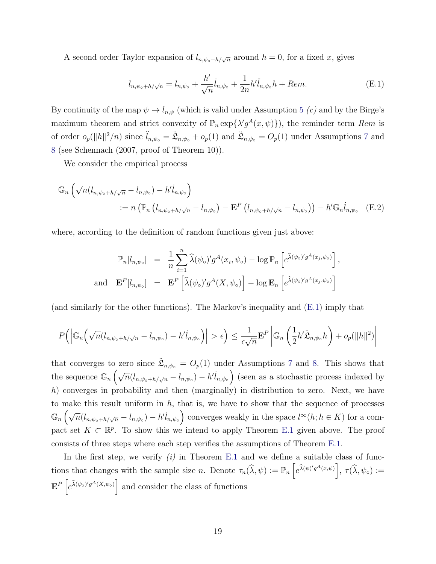A second order Taylor expansion of  $l_{n,\psi_0+h/\sqrt{n}}$  around  $h=0$ , for a fixed x, gives

<span id="page-18-1"></span><span id="page-18-0"></span>
$$
l_{n,\psi_0+h/\sqrt{n}} = l_{n,\psi_0} + \frac{h'}{\sqrt{n}} \dot{l}_{n,\psi_0} + \frac{1}{2n} h' \ddot{l}_{n,\psi_0} h + Rem.
$$
 (E.1)

By continuity of the map  $\psi \mapsto l_{n,\psi}$  (which is valid under Assumption [5](#page-3-1) (c) and by the Birge's maximum theorem and strict convexity of  $\mathbb{P}_n \exp{\{\lambda' g^A(x, \psi)\}}$ , the reminder term Rem is of order  $o_p(||h||^2/n)$  since  $\ddot{l}_{n,\psi_o} = \ddot{\mathfrak{L}}_{n,\psi_o} + o_p(1)$  and  $\ddot{\mathfrak{L}}_{n,\psi_o} = O_p(1)$  under Assumptions [7](#page-4-1) and [8](#page-4-2) (see [Schennach](#page-31-2) [\(2007,](#page-31-2) proof of Theorem 10)).

We consider the empirical process

$$
\mathbb{G}_n\left(\sqrt{n}(l_{n,\psi_0+h/\sqrt{n}}-l_{n,\psi_0})-h'l_{n,\psi_0}\right)
$$
  
 :=  $n\left(\mathbb{P}_n\left(l_{n,\psi_0+h/\sqrt{n}}-l_{n,\psi_0}\right)-\mathbf{E}^P\left(l_{n,\psi_0+h/\sqrt{n}}-l_{n,\psi_0}\right)\right)-h'\mathbb{G}_n l_{n,\psi_0}$  (E.2)

where, according to the definition of random functions given just above:

$$
\mathbb{P}_n[l_{n,\psi_\circ}] = \frac{1}{n} \sum_{i=1}^n \widehat{\lambda}(\psi_\circ)' g^A(x_i, \psi_\circ) - \log \mathbb{P}_n \left[ e^{\widehat{\lambda}(\psi_\circ)' g^A(x_j, \psi_\circ)} \right],
$$
  
and 
$$
\mathbf{E}^P[l_{n,\psi_\circ}] = \mathbf{E}^P \left[ \widehat{\lambda}(\psi_\circ)' g^A(X, \psi_\circ) \right] - \log \mathbf{E}_n \left[ e^{\widehat{\lambda}(\psi_\circ)' g^A(x_j, \psi_\circ)} \right]
$$

(and similarly for the other functions). The Markov's inequality and [\(E.1\)](#page-18-0) imply that

$$
P(|\mathbb{G}_n(\sqrt{n}(l_{n,\psi_0+h/\sqrt{n}}-l_{n,\psi_0})-h'l_{n,\psi_0})|>\epsilon) \leq \frac{1}{\epsilon\sqrt{n}} \mathbf{E}^P\left|\mathbb{G}_n\left(\frac{1}{2}h'\ddot{\mathfrak{L}}_{n,\psi_0}h\right)+o_p(\|h\|^2)\right|
$$

that converges to zero since  $\ddot{\mathfrak{L}}_{n,\psi_0} = O_p(1)$  under Assumptions [7](#page-4-1) and [8.](#page-4-2) This shows that the sequence  $\mathbb{G}_n\left(\sqrt{n}(l_{n,\psi_0+h/\sqrt{n}}-l_{n,\psi_0})-h'l_{n,\psi_0}\right)$  (seen as a stochastic process indexed by h) converges in probability and then (marginally) in distribution to zero. Next, we have to make this result uniform in  $h$ , that is, we have to show that the sequence of processes  $\mathbb{G}_n\left(\sqrt{n}(l_{n,\psi_0+h/\sqrt{n}}-l_{n,\psi_0})-h'l_{n,\psi_0}\right)$  converges weakly in the space  $l^{\infty}(h;h\in K)$  for a compact set  $K \subset \mathbb{R}^p$ . To show this we intend to apply Theorem [E.1](#page-17-2) given above. The proof consists of three steps where each step verifies the assumptions of Theorem [E.1.](#page-17-2)

In the first step, we verify  $(i)$  in Theorem [E.1](#page-17-2) and we define a suitable class of functions that changes with the sample size n. Denote  $\tau_n(\hat{\lambda}, \psi) := \mathbb{P}_n\left[e^{\hat{\lambda}(\psi)'g^A(x,\psi)}\right], \tau(\hat{\lambda}, \psi_\circ) :=$  $\mathbf{E}^P\left[e^{\hat{\lambda}(\psi_\circ)'g^A(X,\psi_\circ)}\right]$  and consider the class of functions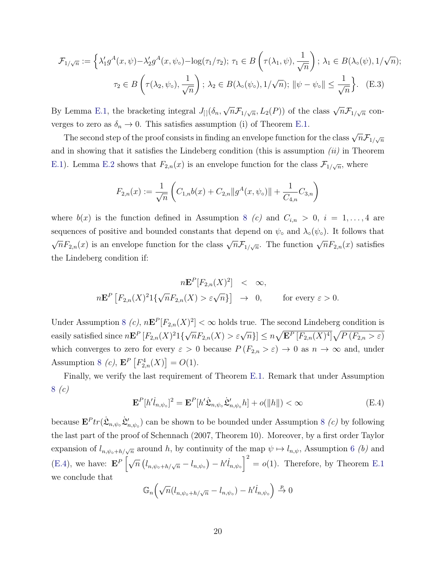$$
\mathcal{F}_{1/\sqrt{n}} := \left\{ \lambda_1' g^A(x, \psi) - \lambda_2' g^A(x, \psi_\circ) - \log(\tau_1/\tau_2); \ \tau_1 \in B\left(\tau(\lambda_1, \psi), \frac{1}{\sqrt{n}}\right); \ \lambda_1 \in B(\lambda_\circ(\psi), 1/\sqrt{n});
$$

$$
\tau_2 \in B\left(\tau(\lambda_2, \psi_\circ), \frac{1}{\sqrt{n}}\right); \ \lambda_2 \in B(\lambda_\circ(\psi_\circ), 1/\sqrt{n}); \ \|\psi - \psi_\circ\| \le \frac{1}{\sqrt{n}} \right\}. \tag{E.3}
$$

By Lemma [E.1,](#page-20-0) the bracketing integral  $J_{\left[ \right]}(\delta_{n},\delta_{n})$ √  $\overline{n} \mathcal{F}_{1/\sqrt{n}}, L_2(P)$  of the class  $\sqrt{n} \mathcal{F}_{1/\sqrt{n}}$  converges to zero as  $\delta_n \to 0$ . This satisfies assumption (i) of Theorem [E.1.](#page-17-2)

The second step of the proof consists in finding an envelope function for the class  $\sqrt{n} \mathcal{F}_{1/\sqrt{n}}$ and in showing that it satisfies the Lindeberg condition (this is assumption  $(ii)$  in Theorem [E.1\)](#page-17-2). Lemma [E.2](#page-22-0) shows that  $F_{2,n}(x)$  is an envelope function for the class  $\mathcal{F}_{1/\sqrt{n}}$ , where

<span id="page-19-1"></span>
$$
F_{2,n}(x) := \frac{1}{\sqrt{n}} \left( C_{1,n} b(x) + C_{2,n} ||g^A(x, \psi_0)|| + \frac{1}{C_{4,n}} C_{3,n} \right)
$$

where  $b(x)$  is the function defined in Assumption [8](#page-4-2) (c) and  $C_{i,n} > 0$ ,  $i = 1, \ldots, 4$  are sequences of positive and bounded constants that depend on  $\psi_{\circ}$  and  $\lambda_{\circ}(\psi_{\circ})$ . It follows that  $\sqrt{n}F_{2,n}(x)$  is an envelope function for the class  $\sqrt{n}\mathcal{F}_{1/\sqrt{n}}$ . The function  $\sqrt{n}F_{2,n}(x)$  satisfies the Lindeberg condition if:

$$
n\mathbf{E}^{P}[F_{2,n}(X)^{2}] \leq \infty,
$$
  

$$
n\mathbf{E}^{P}[F_{2,n}(X)^{2}1\{\sqrt{n}F_{2,n}(X) > \varepsilon\sqrt{n}\}] \rightarrow 0, \quad \text{for every } \varepsilon > 0.
$$

Under Assumption [8](#page-4-2) (c),  $n\mathbf{E}^P[F_{2,n}(X)^2]<\infty$  holds true. The second Lindeberg condition is easily satisfied since  $n \mathbf{E}^P \left[ F_{2,n}(X)^2 1 \left\{ \sqrt{n} F_{2,n}(X) > \varepsilon \sqrt{n} \right\} \right] \leq n \sqrt{\mathbf{E}^P \left[ F_{2,n}(X)^4 \right]} \sqrt{P \left( F_{2,n} > \varepsilon \right)}$ which converges to zero for every  $\varepsilon > 0$  because  $P(F_{2,n} > \varepsilon) \to 0$  as  $n \to \infty$  and, under Assumption [8](#page-4-2) (c),  $\mathbf{E}^P\left[F_{2,n}^4(X)\right] = O(1)$ .

Finally, we verify the last requirement of Theorem [E.1.](#page-17-2) Remark that under Assumption [8](#page-4-2) (c)

<span id="page-19-0"></span>
$$
\mathbf{E}^{P}[h'l_{n,\psi_{\circ}}]^{2} = \mathbf{E}^{P}[h'\dot{\mathfrak{L}}_{n,\psi_{\circ}}\dot{\mathfrak{L}}'_{n,\psi_{\circ}}h] + o(\Vert h \Vert) < \infty
$$
\n(E.4)

because  $\mathbf{E}^P tr(\dot{\mathfrak{L}}_{n,\psi_o} \dot{\mathfrak{L}}'_{n,\psi_o})$  can be shown to be bounded under Assumption [8](#page-4-2) (c) by following the last part of the proof of [Schennach](#page-31-2) [\(2007,](#page-31-2) Theorem 10). Moreover, by a first order Taylor expansion of  $l_{n,\psi_0+h/\sqrt{n}}$  around h, by continuity of the map  $\psi \mapsto l_{n,\psi}$ , Assumption [6](#page-3-2) (b) and [\(E.4\)](#page-19-0), we have:  $\mathbf{E}^P\left[\sqrt{n}\left(l_{n,\psi_o+h/\sqrt{n}}-l_{n,\psi_o}\right)-h'l_{n,\psi_o}\right]^2=o(1)$ . Therefore, by Theorem [E.1](#page-17-2) we conclude that

$$
\mathbb{G}_n\left(\sqrt{n}(l_{n,\psi_\circ+h/\sqrt{n}} - l_{n,\psi_\circ}) - h'l_{n,\psi_\circ}\right) \xrightarrow{p} 0
$$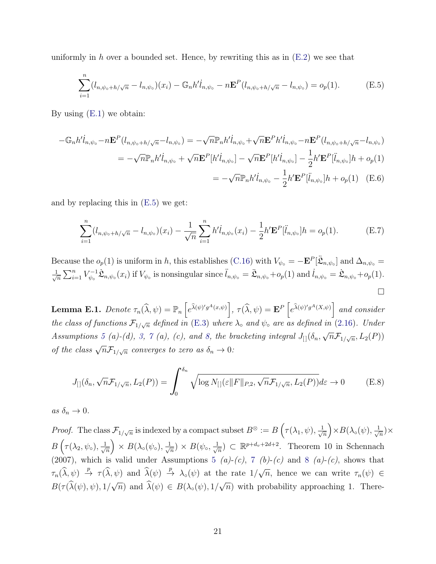uniformly in h over a bounded set. Hence, by rewriting this as in  $(E.2)$  we see that

<span id="page-20-1"></span>
$$
\sum_{i=1}^{n} (l_{n,\psi_0+h/\sqrt{n}} - l_{n,\psi_0})(x_i) - \mathbb{G}_n h' l_{n,\psi_0} - n \mathbf{E}^P(l_{n,\psi_0+h/\sqrt{n}} - l_{n,\psi_0}) = o_p(1).
$$
 (E.5)

By using [\(E.1\)](#page-18-0) we obtain:

$$
-\mathbb{G}_{n}h'l_{n,\psi_{0}} - n\mathbf{E}^{P}(l_{n,\psi_{0}+h/\sqrt{n}}-l_{n,\psi_{0}}) = -\sqrt{n}\mathbb{P}_{n}h'l_{n,\psi_{0}} + \sqrt{n}\mathbf{E}^{P}h'l_{n,\psi_{0}} - n\mathbf{E}^{P}(l_{n,\psi_{0}+h/\sqrt{n}}-l_{n,\psi_{0}})
$$
  

$$
= -\sqrt{n}\mathbb{P}_{n}h'l_{n,\psi_{0}} + \sqrt{n}\mathbf{E}^{P}[h'l_{n,\psi_{0}}] - \sqrt{n}\mathbf{E}^{P}[h'l_{n,\psi_{0}}] - \frac{1}{2}h'\mathbf{E}^{P}[\ddot{l}_{n,\psi_{0}}]h + o_{p}(1)
$$
  

$$
= -\sqrt{n}\mathbb{P}_{n}h'l_{n,\psi_{0}} - \frac{1}{2}h'\mathbf{E}^{P}[\ddot{l}_{n,\psi_{0}}]h + o_{p}(1) \quad (E.6)
$$

and by replacing this in [\(E.5\)](#page-20-1) we get:

$$
\sum_{i=1}^{n} (l_{n,\psi_0+h/\sqrt{n}} - l_{n,\psi_0})(x_i) - \frac{1}{\sqrt{n}} \sum_{i=1}^{n} h' l_{n,\psi_0}(x_i) - \frac{1}{2} h' \mathbf{E}^P[\ddot{l}_{n,\psi_0}] h = o_p(1).
$$
 (E.7)

Because the  $o_p(1)$  is uniform in h, this establishes [\(C.16\)](#page-11-0) with  $V_{\psi} = -\mathbf{E}^P[\ddot{\mathcal{L}}_{n,\psi_0}]$  and  $\Delta_{n,\psi_0} =$  $\frac{1}{\sqrt{2}}$  $\frac{1}{n} \sum_{i=1}^n V_{\psi}^{-1}$  $\mathcal{L}_{\psi_{\circ}}^{-1}\mathcal{L}_{n,\psi_{\circ}}(x_i)$  if  $V_{\psi_{\circ}}$  is nonsingular since  $\ddot{l}_{n,\psi_{\circ}} = \ddot{\mathcal{L}}_{n,\psi_{\circ}} + o_p(1)$  and  $\dot{l}_{n,\psi_{\circ}} = \dot{\mathcal{L}}_{n,\psi_{\circ}} + o_p(1)$ .  $\Box$ 

<span id="page-20-0"></span>**Lemma E.1.** Denote  $\tau_n(\widehat{\lambda}, \psi) = \mathbb{P}_n\left[e^{\widehat{\lambda}(\psi)'g^A(x,\psi)}\right], \tau(\widehat{\lambda}, \psi) = \mathbf{E}^P\left[e^{\widehat{\lambda}(\psi)'g^A(X,\psi)}\right]$  and consider the class of functions  $\mathcal{F}_{1/\sqrt{n}}$  defined in [\(E.3\)](#page-19-1) where  $\lambda_{\circ}$  and  $\psi_{\circ}$  are as defined in [\(2.16\)](#page-0-0). Under Assumptions [5](#page-3-1) (a)-(d), [3,](#page-0-0) [7](#page-4-1) (a), (c), and [8,](#page-4-2) the bracketing integral  $J_{[1]}(\delta_n,$ √  $\overline{n} \mathcal{F}_{1/\sqrt{n}}, L_2(P))$ of the class  $\sqrt{n}\mathcal{F}_{1/\sqrt{n}}$  converges to zero as  $\delta_n \to 0$ :

$$
J_{[]}(\delta_n, \sqrt{n}\mathcal{F}_{1/\sqrt{n}}, L_2(P)) = \int_0^{\delta_n} \sqrt{\log N_{[]}(\varepsilon ||F||_{P,2}, \sqrt{n}\mathcal{F}_{1/\sqrt{n}}, L_2(P))} d\varepsilon \to 0
$$
 (E.8)

as  $\delta_n \to 0$ .

*Proof.* The class  $\mathcal{F}_{1/\sqrt{n}}$  is indexed by a compact subset  $B^{\otimes} := B\left(\tau(\lambda_1,\psi), \frac{1}{\sqrt{n}}\right)$  $\frac{1}{\overline{n}}\Big)$   $\times$   $B(\lambda_{\circ}(\psi),\frac{1}{\sqrt{2}})$  $\frac{1}{n}$   $\times$  $B\left(\tau(\lambda_2,\psi_\circ),\frac{1}{\sqrt{2}}\right)$  $\frac{1}{\overline{n}}\Big)\times B(\lambda_{\circ}(\psi_{\circ}),\frac{1}{\sqrt{\overline{n}}})$  $\overline{\overline{n}}$ ) ×  $B(\psi_\circ, \frac{1}{\sqrt{2}})$  $\frac{1}{n}$ )  $\subset \mathbb{R}^{p+d_v+2d+2}$ . Theorem 10 in [Schennach](#page-31-2) [\(2007\)](#page-31-2), which is valid under Assumptions [5](#page-3-1) (a)-(c), [7](#page-4-1) (b)-(c) and [8](#page-4-2) (a)-(c), shows that  $\tau_n(\hat{\lambda}, \psi) \stackrel{p}{\rightarrow} \tau(\hat{\lambda}, \psi)$  and  $\hat{\lambda}(\psi) \stackrel{p}{\rightarrow} \lambda_o(\psi)$  at the rate  $1/\sqrt{ }$  $\overline{n}$ , hence we can write  $\tau_n(\psi) \in$  $B(\tau(\lambda(\psi), \psi), 1)$ √  $\overline{n}$ ) and  $\lambda(\psi) \in B(\lambda_{\circ}(\psi), 1)$ √  $\overline{n}$ ) with probability approaching 1. There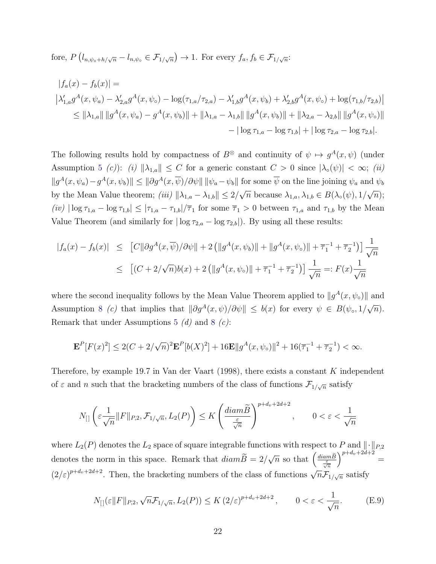fore,  $P\left(l_{n,\psi_0+h/\sqrt{n}}-l_{n,\psi_0}\in\mathcal{F}_{1/\sqrt{n}}\right)\to 1$ . For every  $f_a, f_b \in\mathcal{F}_{1/\sqrt{n}}$ :

$$
|f_a(x) - f_b(x)| =
$$
  
\n
$$
|\lambda'_{1,a}g^A(x, \psi_a) - \lambda'_{2,a}g^A(x, \psi_o) - \log(\tau_{1,a}/\tau_{2,a}) - \lambda'_{1,b}g^A(x, \psi_b) + \lambda'_{2,b}g^A(x, \psi_o) + \log(\tau_{1,b}/\tau_{2,b})|
$$
  
\n
$$
\leq ||\lambda_{1,a}|| \, ||g^A(x, \psi_a) - g^A(x, \psi_b)|| + ||\lambda_{1,a} - \lambda_{1,b}|| \, ||g^A(x, \psi_b)|| + ||\lambda_{2,a} - \lambda_{2,b}|| \, ||g^A(x, \psi_o)||
$$
  
\n
$$
- |\log \tau_{1,a} - \log \tau_{1,b}| + |\log \tau_{2,a} - \log \tau_{2,b}|.
$$

The following results hold by compactness of  $B^{\otimes}$  and continuity of  $\psi \mapsto g^{A}(x,\psi)$  (under Assumption [5](#page-3-1) (c)): (i)  $\|\lambda_{1,a}\| \leq C$  for a generic constant  $C > 0$  since  $|\lambda_{\circ}(\psi)| < \infty$ ; (ii)  $||g^A(x, \psi_a) - g^A(x, \psi_b)|| \le ||\partial g^A(x, \overline{\psi})/\partial \psi|| \, ||\psi_a - \psi_b||$  for some  $\overline{\psi}$  on the line joining  $\psi_a$  and  $\psi_b$ by the Mean Value theorem; (iii)  $\|\lambda_{1,a} - \lambda_{1,b}\| \leq 2/\sqrt{n}$  because  $\lambda_{1,a}, \lambda_{1,b} \in B(\lambda_{\circ}(\psi), 1/\sqrt{n});$  $\sqrt{2}$  √  $\sqrt{2}$  √  $\sqrt{2}$  √  $\sqrt{2}$  √  $\sqrt{2}$  √  $\sqrt{2}$  √  $\sqrt{2}$  √  $\sqrt{2}$  √  $\sqrt{2}$  √  $\sqrt{2}$  √  $\sqrt{2}$  √  $\sqrt{2}$  √  $\sqrt{2}$  √  $\sqrt{2}$  √  $\sqrt{2}$  √  $\sqrt{2}$  √  $\sqrt{2}$  √  $\sqrt{2}$  √  $\sqrt{2}$  √  $\sqrt{2}$  √  $\sqrt{2}$  √  $\sqrt{2}$  √ (iv)  $|\log \tau_{1,a} - \log \tau_{1,b}| \leq |\tau_{1,a} - \tau_{1,b}|/\overline{\tau}_1$  for some  $\overline{\tau}_1 > 0$  between  $\tau_{1,a}$  and  $\tau_{1,b}$  by the Mean Value Theorem (and similarly for  $|\log \tau_{2,a} - \log \tau_{2,b}|$ ). By using all these results:

$$
|f_a(x) - f_b(x)| \leq [C||\partial g^A(x, \overline{\psi})/\partial \psi|| + 2 (||g^A(x, \psi_b)|| + ||g^A(x, \psi_\circ)|| + \overline{\tau}_1^{-1} + \overline{\tau}_2^{-1})] \frac{1}{\sqrt{n}}
$$
  

$$
\leq [(C + 2/\sqrt{n})b(x) + 2 (||g^A(x, \psi_\circ)|| + \overline{\tau}_1^{-1} + \overline{\tau}_2^{-1})] \frac{1}{\sqrt{n}} =: F(x) \frac{1}{\sqrt{n}}
$$

where the second inequality follows by the Mean Value Theorem applied to  $||g^A(x, \psi_o)||$  and Assumption [8](#page-4-2) (c) that implies that  $\|\partial g^A(x,\psi)/\partial \psi\| \leq b(x)$  for every  $\psi \in B(\psi_0,1/\sqrt{\psi})$  $\overline{n}).$ Remark that under Assumptions [5](#page-3-1)  $(d)$  and [8](#page-4-2)  $(c)$ :

$$
\mathbf{E}^{P}[F(x)^{2}] \leq 2(C + 2/\sqrt{n})^{2} \mathbf{E}^{P}[b(X)^{2}] + 16\mathbf{E}||g^{A}(x, \psi_{o})||^{2} + 16(\overline{\tau}_{1}^{-1} + \overline{\tau}_{2}^{-1}) < \infty.
$$

Therefore, by example 19.7 in [Van der Vaart](#page-32-0)  $(1998)$ , there exists a constant K independent of  $\varepsilon$  and n such that the bracketing numbers of the class of functions  $\mathcal{F}_{1/\sqrt{n}}$  satisfy

$$
N_{[\,]}\left(\varepsilon\frac{1}{\sqrt{n}}\|F\|_{P,2},\mathcal{F}_{1/\sqrt{n}},L_2(P)\right)\leq K\left(\frac{diam \widetilde{B}}{\frac{\varepsilon}{\sqrt{n}}}\right)^{p+d_v+2d+2},\qquad 0<\varepsilon<\frac{1}{\sqrt{n}}
$$

where  $L_2(P)$  denotes the  $L_2$  space of square integrable functions with respect to P and  $\|\cdot\|_{P,2}$ denotes the norm in this space. Remark that  $diam B = 2/$  $\sqrt{n}$  so that  $\left(\frac{diam \widetilde{B}}{\frac{\varepsilon}{\sqrt{n}}} \right)$  $\sum_{v}^{p+d_v+2d+2}$ =  $(2/\varepsilon)^{p+d_v+2d+2}$ . Then, the bracketing numbers of the class of functions  $\sqrt{n}\mathcal{F}_{1/\sqrt{n}}$  satisfy

<span id="page-21-0"></span>
$$
N_{[}(\varepsilon \|F\|_{P,2}, \sqrt{n}\mathcal{F}_{1/\sqrt{n}}, L_2(P)) \le K\left(2/\varepsilon\right)^{p+d_v+2d+2}, \qquad 0 < \varepsilon < \frac{1}{\sqrt{n}}.\tag{E.9}
$$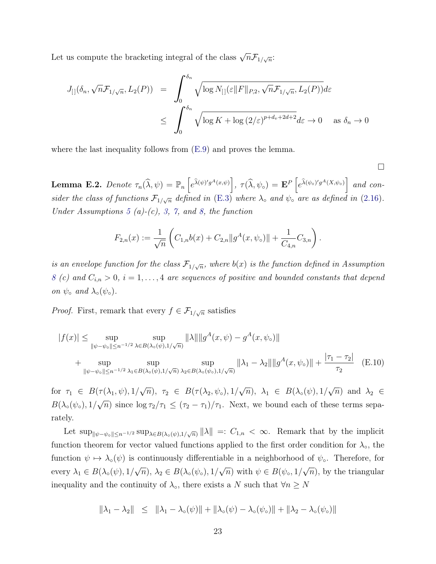Let us compute the bracketing integral of the class  $\sqrt{n} \mathcal{F}_{1/\sqrt{n}}$ :

$$
J_{[}](\delta_n, \sqrt{n} \mathcal{F}_{1/\sqrt{n}}, L_2(P)) = \int_0^{\delta_n} \sqrt{\log N_{[}](\varepsilon \|F\|_{P,2}, \sqrt{n} \mathcal{F}_{1/\sqrt{n}}, L_2(P))} d\varepsilon
$$
  

$$
\leq \int_0^{\delta_n} \sqrt{\log K + \log (2/\varepsilon)^{p+d_v + 2d + 2}} d\varepsilon \to 0 \quad \text{as } \delta_n \to 0
$$

where the last inequality follows from  $(E.9)$  and proves the lemma.

<span id="page-22-1"></span>
$$
\Box
$$

<span id="page-22-0"></span>**Lemma E.2.** Denote  $\tau_n(\widehat{\lambda}, \psi) = \mathbb{P}_n\left[e^{\widehat{\lambda}(\psi)'g^A(x,\psi)}\right], \tau(\widehat{\lambda}, \psi_\circ) = \mathbf{E}^P\left[e^{\widehat{\lambda}(\psi_\circ)'g^A(X,\psi_\circ)}\right]$  and consider the class of functions  $\mathcal{F}_{1/\sqrt{n}}$  defined in [\(E.3\)](#page-19-1) where  $\lambda_{\circ}$  and  $\psi_{\circ}$  are as defined in [\(2.16\)](#page-0-0). Under Assumptions [5](#page-3-1) (a)-(c), [3,](#page-0-0) [7,](#page-4-1) and [8,](#page-4-2) the function

$$
F_{2,n}(x) := \frac{1}{\sqrt{n}} \left( C_{1,n} b(x) + C_{2,n} \| g^A(x, \psi_0) \| + \frac{1}{C_{4,n}} C_{3,n} \right).
$$

is an envelope function for the class  $\mathcal{F}_{1/\sqrt{n}}$ , where  $b(x)$  is the function defined in Assumption [8](#page-4-2) (c) and  $C_{i,n} > 0$ ,  $i = 1, \ldots, 4$  are sequences of positive and bounded constants that depend on  $\psi$ <sup>o</sup> and  $\lambda$ <sup>o</sup> $(\psi$ <sup>o</sup> $)$ .

*Proof.* First, remark that every  $f \in \mathcal{F}_{1/\sqrt{n}}$  satisfies

$$
|f(x)| \le \sup_{\|\psi - \psi_0\| \le n^{-1/2}} \sup_{\lambda \in B(\lambda_0(\psi), 1/\sqrt{n})} \|\lambda\| \|g^A(x, \psi) - g^A(x, \psi_0)\|
$$
  
+ 
$$
\sup_{\|\psi - \psi_0\| \le n^{-1/2}} \sup_{\lambda_1 \in B(\lambda_0(\psi), 1/\sqrt{n})} \sup_{\lambda_2 \in B(\lambda_0(\psi_0), 1/\sqrt{n})} \|\lambda_1 - \lambda_2\| \|g^A(x, \psi_0)\| + \frac{|\tau_1 - \tau_2|}{\tau_2} \quad \text{(E.10)}
$$

for  $\tau_1 \in B(\tau(\lambda_1, \psi), 1)$ √  $\overline{n}), \tau_2 \in B(\tau(\lambda_2, \psi_\circ), 1)$ √  $\overline{n}), \ \lambda_1 \in B(\lambda_{\circ}(\psi), 1/2)$ √  $\overline{n})$  and  $\lambda_2 \in$  $B(\lambda_{\circ}(\psi_{\circ}),1/$ √  $\overline{n}$ ) since  $\log \tau_2/\tau_1 \leq (\tau_2 - \tau_1)/\tau_1$ . Next, we bound each of these terms separately.

Let  $\sup_{\|\psi-\psi_0\|\leq n^{-1/2}} \sup_{\lambda\in B(\lambda_0(\psi),1/\sqrt{n})} \|\lambda\| =: C_{1,n} < \infty$ . Remark that by the implicit function theorem for vector valued functions applied to the first order condition for  $\lambda_{\circ}$ , the function  $\psi \mapsto \lambda_0(\psi)$  is continuously differentiable in a neighborhood of  $\psi_0$ . Therefore, for every  $\lambda_1 \in B(\lambda_{\circ}(\psi), 1)$ √  $\overline{n}), \lambda_2 \in B(\lambda_\circ(\psi_\circ), 1)$ √  $\overline{n})$  with  $\psi \in B(\psi_{\circ}, 1)$ √  $\overline{n}$ , by the triangular inequality and the continuity of  $\lambda_0$ , there exists a N such that  $\forall n \geq N$ 

$$
\|\lambda_1 - \lambda_2\| \leq \|\lambda_1 - \lambda_{\circ}(\psi)\| + \|\lambda_{\circ}(\psi) - \lambda_{\circ}(\psi_{\circ})\| + \|\lambda_2 - \lambda_{\circ}(\psi_{\circ})\|
$$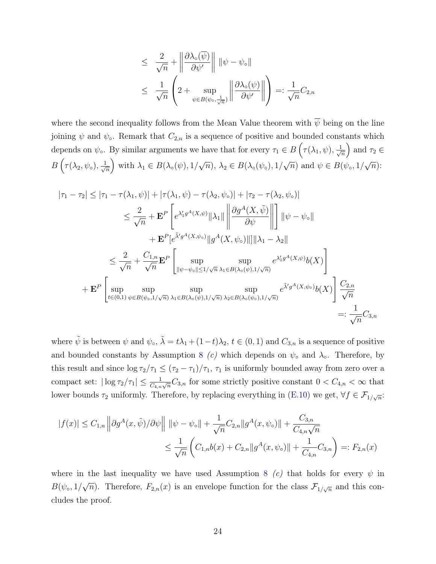$$
\leq \frac{2}{\sqrt{n}} + \left\| \frac{\partial \lambda_{\circ}(\overline{\psi})}{\partial \psi'} \right\| \|\psi - \psi_{\circ}\|
$$
  

$$
\leq \frac{1}{\sqrt{n}} \left( 2 + \sup_{\psi \in B(\psi_{\circ}, \frac{1}{\sqrt{n}})} \left\| \frac{\partial \lambda_{\circ}(\psi)}{\partial \psi'} \right\| \right) =: \frac{1}{\sqrt{n}} C_{2,n}
$$

where the second inequality follows from the Mean Value theorem with  $\overline{\psi}$  being on the line joining  $\psi$  and  $\psi_{\circ}$ . Remark that  $C_{2,n}$  is a sequence of positive and bounded constants which depends on  $\psi$ . By similar arguments we have that for every  $\tau_1 \in B\left(\tau(\lambda_1,\psi),\frac{1}{\sqrt{\lambda}}\right)$  $\frac{1}{n}$  and  $\tau_2 \in$  $B\left(\tau(\lambda_2,\psi_\circ),\frac{1}{\sqrt{2}}\right)$  $\frac{1}{\sqrt{n}}$  with  $\lambda_1 \in B(\lambda_0(\psi), 1)$ √  $\overline{n}), \lambda_2 \in B(\lambda_\circ(\psi_\circ), 1)$ √  $\overline{n}$ ) and  $\psi \in B(\psi_{\circ}, 1)$ √  $\overline{n})$ :

$$
|\tau_1 - \tau_2| \leq |\tau_1 - \tau(\lambda_1, \psi)| + |\tau(\lambda_1, \psi) - \tau(\lambda_2, \psi_{\circ})| + |\tau_2 - \tau(\lambda_2, \psi_{\circ})|
$$
  
\n
$$
\leq \frac{2}{\sqrt{n}} + \mathbf{E}^P \left[ e^{\lambda'_1 g^A(X, \psi)} \|\lambda_1\| \left\| \frac{\partial g^A(X, \tilde{\psi})}{\partial \psi} \right\| \right] \|\psi - \psi_{\circ}\|
$$
  
\n
$$
+ \mathbf{E}^P [e^{\tilde{\lambda}' g^A(X, \psi_{\circ})} \|g^A(X, \psi_{\circ})\|] \|\lambda_1 - \lambda_2\|
$$
  
\n
$$
\leq \frac{2}{\sqrt{n}} + \frac{C_{1,n}}{\sqrt{n}} \mathbf{E}^P \left[ \sup_{\|\psi - \psi_{\circ}\| \leq 1/\sqrt{n}} \sup_{\lambda_1 \in B(\lambda_{\circ}(\psi), 1/\sqrt{n})} e^{\lambda'_1 g^A(X, \psi)} b(X) \right]
$$
  
\n
$$
+ \mathbf{E}^P \left[ \sup_{t \in (0,1)} \sup_{\psi \in B(\psi_{\circ}, 1/\sqrt{n})} \sup_{\lambda_1 \in B(\lambda_{\circ}(\psi), 1/\sqrt{n})} \sup_{\lambda_2 \in B(\lambda_{\circ}(\psi_{\circ}), 1/\sqrt{n})} e^{\tilde{\lambda}' g^A(X, \psi_{\circ})} b(X) \right] \frac{C_{2,n}}{\sqrt{n}}
$$
  
\n
$$
=:\frac{1}{\sqrt{n}} C_{3,n}
$$

where  $\tilde{\psi}$  is between  $\psi$  and  $\psi_{\circ}$ ,  $\tilde{\lambda} = t\lambda_1 + (1-t)\lambda_2$ ,  $t \in (0,1)$  and  $C_{3,n}$  is a sequence of positive and bounded constants by Assumption [8](#page-4-2) (c) which depends on  $\psi_{\circ}$  and  $\lambda_{\circ}$ . Therefore, by this result and since  $\log \tau_2/\tau_1 \leq (\tau_2 - \tau_1)/\tau_1$ ,  $\tau_1$  is uniformly bounded away from zero over a compact set:  $|\log \tau_2/\tau_1| \leq \frac{1}{C_{4,n}\sqrt{n}}C_{3,n}$  for some strictly positive constant  $0 < C_{4,n} < \infty$  that lower bounds  $\tau_2$  uniformly. Therefore, by replacing everything in [\(E.10\)](#page-22-1) we get,  $\forall f \in \mathcal{F}_{1/\sqrt{n}}$ :

$$
|f(x)| \leq C_{1,n} \left\| \partial g^A(x, \tilde{\psi}) / \partial \psi \right\| \, \|\psi - \psi_{\circ}\| + \frac{1}{\sqrt{n}} C_{2,n} \|g^A(x, \psi_{\circ})\| + \frac{C_{3,n}}{C_{4,n}\sqrt{n}} \leq \frac{1}{\sqrt{n}} \left( C_{1,n} b(x) + C_{2,n} \|g^A(x, \psi_{\circ})\| + \frac{1}{C_{4,n}} C_{3,n} \right) =: F_{2,n}(x)
$$

where in the last inequality we have used Assumption [8](#page-4-2) (c) that holds for every  $\psi$  in  $B(\psi_\circ,1/$ √  $\overline{n}$ ). Therefore,  $F_{2,n}(x)$  is an envelope function for the class  $\mathcal{F}_{1/\sqrt{n}}$  and this concludes the proof.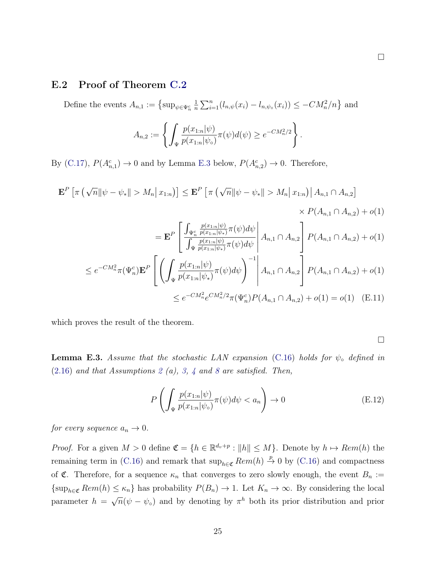#### E.2 Proof of Theorem [C.2](#page-11-3)

Define the events  $A_{n,1} := \{ \sup_{\psi \in \Psi_n^c} \psi \}$ 1  $\frac{1}{n} \sum_{i=1}^{n} (l_{n,\psi}(x_i) - l_{n,\psi_0}(x_i)) \le -CM_n^2/n$  and

$$
A_{n,2} := \left\{ \int_{\Psi} \frac{p(x_{1:n}|\psi)}{p(x_{1:n}|\psi_0)} \pi(\psi) d(\psi) \geq e^{-CM_n^2/2} \right\}.
$$

By [\(C.17\)](#page-11-4),  $P(A_{n,1}^c) \rightarrow 0$  and by Lemma [E.3](#page-24-0) below,  $P(A_{n,2}^c) \rightarrow 0$ . Therefore,

$$
\mathbf{E}^{P} \left[ \pi \left( \sqrt{n} \|\psi - \psi_{*}\| > M_{n} \|x_{1:n} \right) \right] \leq \mathbf{E}^{P} \left[ \pi \left( \sqrt{n} \|\psi - \psi_{*}\| > M_{n} \|x_{1:n} \right) | A_{n,1} \cap A_{n,2} \right] \times P(A_{n,1} \cap A_{n,2}) + o(1) \times P(A_{n,1} \cap A_{n,2}) + o(1) \n= \mathbf{E}^{P} \left[ \frac{\int_{\Psi_{n}^{c}} \frac{p(x_{1:n}|\psi)}{p(x_{1:n}|\psi_{*})} \pi(\psi) d\psi}{\int_{\Psi} \frac{p(x_{1:n}|\psi)}{p(x_{1:n}|\psi_{*})} \pi(\psi) d\psi} | A_{n,1} \cap A_{n,2} \right] P(A_{n,1} \cap A_{n,2}) + o(1) \n\leq e^{-CM_{n}^{2}} \pi(\Psi_{n}^{c}) \mathbf{E}^{P} \left[ \left( \int_{\Psi} \frac{p(x_{1:n}|\psi)}{p(x_{1:n}|\psi_{*})} \pi(\psi) d\psi \right)^{-1} | A_{n,1} \cap A_{n,2} \right] P(A_{n,1} \cap A_{n,2}) + o(1)
$$

$$
\leq e^{-CM_n^2} e^{CM_n^2/2} \pi(\Psi_n^c) P(A_{n,1} \cap A_{n,2}) + o(1) = o(1) \quad \text{(E.11)}
$$

which proves the result of the theorem.

 $\Box$ 

<span id="page-24-0"></span>**Lemma E.3.** Assume that the stochastic LAN expansion [\(C.16\)](#page-11-0) holds for  $\psi_{\circ}$  defined in  $(2.16)$  and that Assumptions [2](#page-0-0) (a), [3,](#page-0-0) [4](#page-0-0) and [8](#page-4-2) are satisfied. Then,

<span id="page-24-1"></span>
$$
P\left(\int_{\Psi} \frac{p(x_{1:n}|\psi)}{p(x_{1:n}|\psi_0)} \pi(\psi) d\psi < a_n\right) \to 0 \tag{E.12}
$$

for every sequence  $a_n \to 0$ .

*Proof.* For a given  $M > 0$  define  $\mathfrak{C} = \{h \in \mathbb{R}^{d_v+p} : ||h|| \leq M\}$ . Denote by  $h \mapsto Rem(h)$  the remaining term in [\(C.16\)](#page-11-0) and remark that  $\sup_{h \in \mathfrak{C}} Rem(h) \stackrel{p}{\rightarrow} 0$  by (C.16) and compactness of C. Therefore, for a sequence  $\kappa_n$  that converges to zero slowly enough, the event  $B_n :=$  $\{\sup_{h\in\mathfrak{C}} Rem(h)\leq \kappa_n\}$  has probability  $P(B_n)\to 1$ . Let  $K_n\to\infty$ . By considering the local parameter  $h =$ √  $\overline{n}(\psi - \psi_0)$  and by denoting by  $\pi^h$  both its prior distribution and prior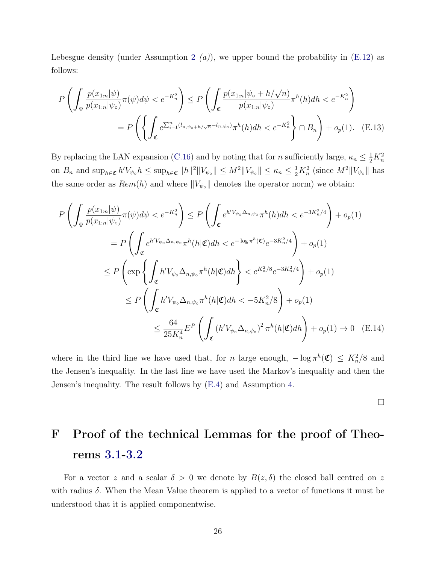Lebesgue density (under Assumption [2](#page-0-0)  $(a)$ ), we upper bound the probability in [\(E.12\)](#page-24-1) as follows:

$$
P\left(\int_{\Psi} \frac{p(x_{1:n}|\psi)}{p(x_{1:n}|\psi_{\circ})} \pi(\psi) d\psi < e^{-K_n^2}\right) \le P\left(\int_{\mathfrak{C}} \frac{p(x_{1:n}|\psi_{\circ} + h/\sqrt{n})}{p(x_{1:n}|\psi_{\circ})} \pi^h(h) dh < e^{-K_n^2}\right)
$$
  
=  $P\left(\left\{\int_{\mathfrak{C}} e^{\sum_{i=1}^n (l_{n,\psi_{\circ}+h/\sqrt{n}} - l_{n,\psi_{\circ}})} \pi^h(h) dh < e^{-K_n^2}\right\} \cap B_n\right) + o_p(1).$  (E.13)

By replacing the LAN expansion [\(C.16\)](#page-11-0) and by noting that for n sufficiently large,  $\kappa_n \leq \frac{1}{2}K_n^2$ on  $B_n$  and  $\sup_{h \in \mathfrak{C}} h' V_{\psi} h \leq \sup_{h \in \mathfrak{C}} \|h\|^2 \|V_{\psi} \| \leq M^2 \|V_{\psi} \| \leq \kappa_n \leq \frac{1}{2} K_n^2$  (since  $M^2 \|V_{\psi} \|$  has the same order as  $Rem(h)$  and where  $||V_{\psi \circ}||$  denotes the operator norm) we obtain:

$$
P\left(\int_{\Psi} \frac{p(x_{1:n}|\psi)}{p(x_{1:n}|\psi_{\circ})} \pi(\psi) d\psi < e^{-K_n^2}\right) \le P\left(\int_{\mathfrak{C}} e^{h'V_{\psi_{\circ}}\Delta_{n,\psi_{\circ}}}\pi^h(h)dh < e^{-3K_n^2/4}\right) + o_p(1)
$$
  
\n
$$
= P\left(\int_{\mathfrak{C}} e^{h'V_{\psi_{\circ}}\Delta_{n,\psi_{\circ}}}\pi^h(h|\mathfrak{C})dh < e^{-\log \pi^h(\mathfrak{C})}e^{-3K_n^2/4}\right) + o_p(1)
$$
  
\n
$$
\le P\left(\exp\left\{\int_{\mathfrak{C}} h'V_{\psi_{\circ}}\Delta_{n,\psi_{\circ}}\pi^h(h|\mathfrak{C})dh\right\} < e^{K_n^2/8}e^{-3K_n^2/4}\right) + o_p(1)
$$
  
\n
$$
\le P\left(\int_{\mathfrak{C}} h'V_{\psi_{\circ}}\Delta_{n,\psi_{\circ}}\pi^h(h|\mathfrak{C})dh < -5K_n^2/8\right) + o_p(1)
$$
  
\n
$$
\le \frac{64}{25K_n^4}E^P\left(\int_{\mathfrak{C}} (h'V_{\psi_{\circ}}\Delta_{n,\psi_{\circ}})^2\pi^h(h|\mathfrak{C})dh\right) + o_p(1) \to 0 \quad \text{(E.14)}
$$

where in the third line we have used that, for n large enough,  $-\log \pi^{h}(\mathfrak{C}) \leq K_n^2/8$  and the Jensen's inequality. In the last line we have used the Markov's inequality and then the Jensen's inequality. The result follows by [\(E.4\)](#page-19-0) and Assumption [4.](#page-0-0)

 $\Box$ 

## <span id="page-25-0"></span>F Proof of the technical Lemmas for the proof of Theorems [3.1-3.2](#page-0-0)

For a vector z and a scalar  $\delta > 0$  we denote by  $B(z, \delta)$  the closed ball centred on z with radius  $\delta$ . When the Mean Value theorem is applied to a vector of functions it must be understood that it is applied componentwise.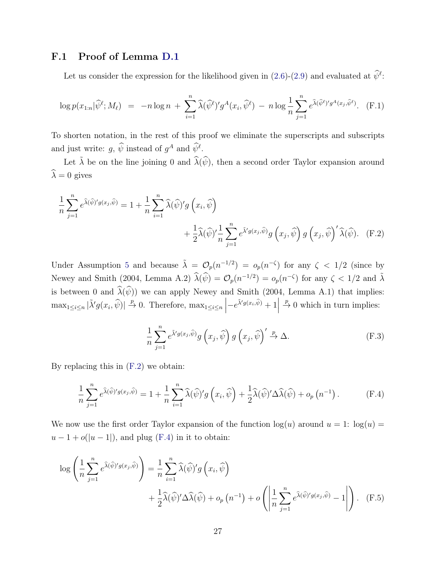## F.1 Proof of Lemma [D.1](#page-16-0)

<span id="page-26-3"></span>Let us consider the expression for the likelihood given in [\(2.6\)](#page-0-0)-[\(2.9\)](#page-0-0) and evaluated at  $\hat{\psi}^{\ell}$ :

$$
\log p(x_{1:n}|\widehat{\psi}^{\ell};M_{\ell}) = -n \log n + \sum_{i=1}^{n} \widehat{\lambda}(\widehat{\psi}^{\ell})' g^{A}(x_i, \widehat{\psi}^{\ell}) - n \log \frac{1}{n} \sum_{j=1}^{n} e^{\widehat{\lambda}(\widehat{\psi}^{\ell})' g^{A}(x_j, \widehat{\psi}^{\ell})}.
$$
 (F.1)

To shorten notation, in the rest of this proof we eliminate the superscripts and subscripts and just write:  $g, \hat{\psi}$  instead of  $g^A$  and  $\hat{\psi}^{\ell}$ .

Let  $\tilde{\lambda}$  be on the line joining 0 and  $\hat{\lambda}(\hat{\psi})$ , then a second order Taylor expansion around  $\widehat{\lambda} = 0$  gives

$$
\frac{1}{n} \sum_{j=1}^{n} e^{\hat{\lambda}(\hat{\psi})' g(x_j, \hat{\psi})} = 1 + \frac{1}{n} \sum_{i=1}^{n} \hat{\lambda}(\hat{\psi})' g(x_i, \hat{\psi}) + \frac{1}{2} \hat{\lambda}(\hat{\psi})' \frac{1}{n} \sum_{j=1}^{n} e^{\tilde{\lambda}' g(x_j, \hat{\psi})} g(x_j, \hat{\psi}) g(x_j, \hat{\psi})' \hat{\lambda}(\hat{\psi}).
$$
 (F.2)

Under Assumption [5](#page-3-1) and because  $\tilde{\lambda} = \mathcal{O}_p(n^{-1/2}) = o_p(n^{-\zeta})$  for any  $\zeta < 1/2$  (since by [Newey and Smith](#page-31-1) [\(2004,](#page-31-1) Lemma A.2)  $\widehat{\lambda}(\widehat{\psi}) = \mathcal{O}_p(n^{-1/2}) = o_p(n^{-\zeta})$  for any  $\zeta < 1/2$  and  $\widetilde{\lambda}$ is between 0 and  $\widehat{\lambda}(\widehat{\psi})$ ) we can apply [Newey and Smith](#page-31-1) [\(2004,](#page-31-1) Lemma A.1) that implies:  $\max_{1 \leq i \leq n} |\tilde{\lambda}' g(x_i, \hat{\psi})| \stackrel{p}{\to} 0$ . Therefore,  $\max_{1 \leq i \leq n} \left| -e^{\tilde{\lambda}' g(x_i, \hat{\psi})} + 1 \right|$  $\stackrel{p}{\rightarrow} 0$  which in turn implies:

<span id="page-26-2"></span><span id="page-26-0"></span>
$$
\frac{1}{n}\sum_{j=1}^{n} e^{\tilde{\lambda}' g(x_j, \hat{\psi})} g\left(x_j, \hat{\psi}\right) g\left(x_j, \hat{\psi}\right)' \stackrel{p}{\to} \Delta. \tag{F.3}
$$

By replacing this in [\(F.2\)](#page-26-0) we obtain:

<span id="page-26-1"></span>
$$
\frac{1}{n}\sum_{j=1}^{n}e^{\hat{\lambda}(\hat{\psi})'g(x_j,\hat{\psi})} = 1 + \frac{1}{n}\sum_{i=1}^{n}\hat{\lambda}(\hat{\psi})'g\left(x_i,\hat{\psi}\right) + \frac{1}{2}\hat{\lambda}(\hat{\psi})'\Delta\hat{\lambda}(\hat{\psi}) + o_p\left(n^{-1}\right).
$$
 (F.4)

We now use the first order Taylor expansion of the function  $log(u)$  around  $u = 1$ :  $log(u) =$  $u-1+o(|u-1|)$ , and plug [\(F.4\)](#page-26-1) in it to obtain:

$$
\log\left(\frac{1}{n}\sum_{j=1}^{n}e^{\hat{\lambda}(\hat{\psi})'g(x_{j},\hat{\psi})}\right) = \frac{1}{n}\sum_{i=1}^{n}\hat{\lambda}(\hat{\psi})'g\left(x_{i},\hat{\psi}\right)
$$

$$
+\frac{1}{2}\hat{\lambda}(\hat{\psi})'\Delta\hat{\lambda}(\hat{\psi}) + o_{p}\left(n^{-1}\right) + o\left(\left|\frac{1}{n}\sum_{j=1}^{n}e^{\hat{\lambda}(\hat{\psi})'g(x_{j},\hat{\psi})}-1\right|\right). \quad (F.5)
$$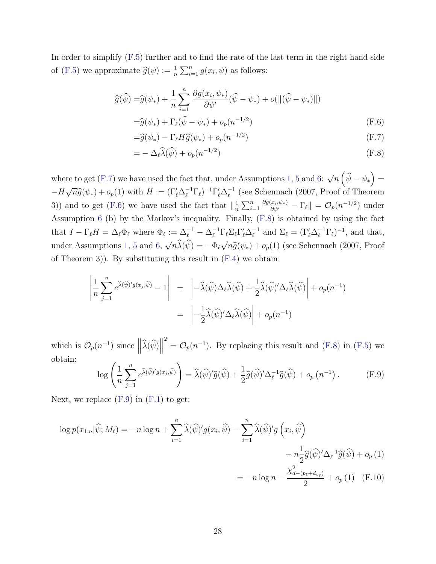In order to simplify [\(F.5\)](#page-26-2) further and to find the rate of the last term in the right hand side of [\(F.5\)](#page-26-2) we approximate  $\widehat{g}(\psi) := \frac{1}{n} \sum_{i=1}^{n} g(x_i, \psi)$  as follows:

$$
\widehat{g}(\widehat{\psi}) = \widehat{g}(\psi_*) + \frac{1}{n} \sum_{i=1}^n \frac{\partial g(x_i, \psi_*)}{\partial \psi'}(\widehat{\psi} - \psi_*) + o(\|(\widehat{\psi} - \psi_*)\|)
$$
  
=  $\widehat{g}(\psi_*) + \Gamma_\ell(\widehat{\psi} - \psi_*) + o_p(n^{-1/2})$  (F.6)

<span id="page-27-1"></span>
$$
= \widehat{g}(\psi_*) - \Gamma_\ell H \widehat{g}(\psi_*) + o_p(n^{-1/2})
$$
\n(F.7)

<span id="page-27-2"></span><span id="page-27-0"></span>
$$
= -\Delta_{\ell}\widehat{\lambda}(\widehat{\psi}) + o_p(n^{-1/2})
$$
\n(F.8)

where to get  $(F.7)$  we have used the fact that, under Assumptions [1,](#page-0-0) [5](#page-3-1) and [6:](#page-3-2) √  $\overline{n}\left( \widehat{\psi}-\psi_{\ast}\right) =% \overline{n}\left( \widehat{\psi}-\psi_{\ast}\right)$  $-H$  $\sqrt{n}\widehat{g}(\psi_*) + o_p(1)$  with  $H := (\Gamma'_\ell \Delta_\ell^{-1} \Gamma_\ell)^{-1} \Gamma'_\ell \Delta_\ell^{-1}$  $^{-1}_{\ell}$  (see [Schennach](#page-31-2) [\(2007,](#page-31-2) Proof of Theorem 3)) and to get [\(F.6\)](#page-27-1) we have used the fact that  $\left\|\frac{1}{n}\right\|$  $\frac{1}{n} \sum_{i=1}^n$  $\frac{\partial g(x_i, \psi_*)}{\partial \psi'} - \Gamma_\ell \| = \mathcal{O}_p(n^{-1/2})$  under Assumption [6](#page-3-2) (b) by the Markov's inequality. Finally, [\(F.8\)](#page-27-2) is obtained by using the fact that  $I - \Gamma_{\ell} H = \Delta_{\ell} \Phi_{\ell}$  where  $\Phi_{\ell} := \Delta_{\ell}^{-1} - \Delta_{\ell}^{-1} \Gamma_{\ell} \Sigma_{\ell} \Gamma_{\ell}' \Delta_{\ell}^{-1}$  $\overline{\ell}^1$  and  $\Sigma_{\ell} = (\Gamma'_{\ell} \Delta_{\ell}^{-1} \Gamma_{\ell})^{-1}$ , and that, under Assumptions [1,](#page-0-0) [5](#page-3-1) and [6,](#page-3-2) √  $\overline{n}\lambda(\psi) = -\Phi_{\ell}$ √  $\widehat{n}\widehat{g}(\psi_*) + o_p(1)$  (see [Schennach](#page-31-2) [\(2007,](#page-31-2) Proof of Theorem 3)). By substituting this result in [\(F.4\)](#page-26-1) we obtain:

$$
\left| \frac{1}{n} \sum_{j=1}^{n} e^{\hat{\lambda}(\hat{\psi})' g(x_j, \hat{\psi})} - 1 \right| = \left| -\hat{\lambda}(\hat{\psi}) \Delta_{\ell} \hat{\lambda}(\hat{\psi}) + \frac{1}{2} \hat{\lambda}(\hat{\psi})' \Delta_{\ell} \hat{\lambda}(\hat{\psi}) \right| + o_p(n^{-1})
$$

$$
= \left| -\frac{1}{2} \hat{\lambda}(\hat{\psi})' \Delta_{\ell} \hat{\lambda}(\hat{\psi}) \right| + o_p(n^{-1})
$$

which is  $\mathcal{O}_p(n^{-1})$  since  $\left\|\widehat{\lambda}(\widehat{\psi})\right\|$  $\mathcal{O}_p(n^{-1})$ . By replacing this result and [\(F.8\)](#page-27-2) in [\(F.5\)](#page-26-2) we obtain:

<span id="page-27-3"></span>
$$
\log\left(\frac{1}{n}\sum_{j=1}^{n}e^{\hat{\lambda}(\hat{\psi})'g(x_j,\hat{\psi})}\right) = \hat{\lambda}(\hat{\psi})'\hat{g}(\hat{\psi}) + \frac{1}{2}\hat{g}(\hat{\psi})'\Delta_{\ell}^{-1}\hat{g}(\hat{\psi}) + o_p(n^{-1}).
$$
 (F.9)

Next, we replace  $(F.9)$  in  $(F.1)$  to get:

$$
\log p(x_{1:n}|\hat{\psi}; M_{\ell}) = -n \log n + \sum_{i=1}^{n} \widehat{\lambda}(\widehat{\psi})' g(x_{i}, \widehat{\psi}) - \sum_{i=1}^{n} \widehat{\lambda}(\widehat{\psi})' g(x_{i}, \widehat{\psi}) - n \frac{1}{2} \widehat{g}(\widehat{\psi})' \Delta_{\ell}^{-1} \widehat{g}(\widehat{\psi}) + o_{p}(1)
$$

$$
= -n \log n - \frac{\chi_{d-(p_{\ell} + d_{v_{\ell}})}^{2}}{2} + o_{p}(1) \quad \text{(F.10)}
$$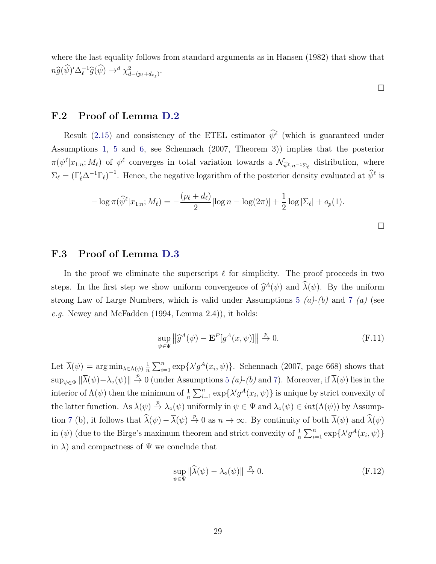where the last equality follows from standard arguments as in Hansen (1982) that show that  $n\widehat{g}(\widehat{\psi})'\Delta_{\ell}^{-1}$  $\iota^{-1}\widehat{g}(\widehat{\psi}) \rightarrow^d \chi^2_{d-(p_{\ell}+d_{v_{\ell}})}.$ 

 $\Box$ 

#### F.2 Proof of Lemma [D.2](#page-16-1)

Result [\(2.15\)](#page-8-0) and consistency of the ETEL estimator  $\hat{\psi}^{\ell}$  (which is guaranteed under Assumptions [1,](#page-0-0) [5](#page-3-1) and [6,](#page-3-2) see [Schennach](#page-31-2) [\(2007,](#page-31-2) Theorem 3)) implies that the posterior  $\pi(\psi^{\ell}|x_{1:n};M_{\ell})$  of  $\psi^{\ell}$  converges in total variation towards a  $\mathcal{N}_{\hat{\psi}^{\ell},n^{-1}\Sigma_{\ell}}$  distribution, where  $\Sigma_\ell = (\Gamma'_\ell \Delta^{-1} \Gamma_\ell)^{-1}$ . Hence, the negative logarithm of the posterior density evaluated at  $\widehat{\psi}^{\ell}$  is

$$
-\log \pi(\widehat{\psi}^{\ell}|x_{1:n};M_{\ell}) = -\frac{(p_{\ell}+d_{\ell})}{2}[\log n - \log(2\pi)] + \frac{1}{2}\log|\Sigma_{\ell}| + o_p(1).
$$

 $\Box$ 

#### F.3 Proof of Lemma [D.3](#page-17-1)

In the proof we eliminate the superscript  $\ell$  for simplicity. The proof proceeds in two steps. In the first step we show uniform convergence of  $\hat{g}^A(\psi)$  and  $\hat{\lambda}(\psi)$ . By the uniform strong Law of Large Numbers, which is valid under Assumptions [5](#page-3-1)  $(a)-(b)$  and [7](#page-4-1)  $(a)$  (see e.g. [Newey and McFadden](#page-31-4) [\(1994,](#page-31-4) Lemma 2.4)), it holds:

<span id="page-28-0"></span>
$$
\sup_{\psi \in \Psi} \left\| \widehat{g}^A(\psi) - \mathbf{E}^P[g^A(x, \psi)] \right\| \stackrel{p}{\to} 0. \tag{F.11}
$$

Let  $\overline{\lambda}(\psi) = \arg \min_{\lambda \in \Lambda(\psi)} \frac{1}{n}$  $\frac{1}{n}\sum_{i=1}^{n} \exp\{\lambda' g^A(x_i, \psi)\}.$  [Schennach](#page-31-2) [\(2007,](#page-31-2) page 668) shows that  $\sup_{\psi \in \Psi} \|\overline{\lambda}(\psi) - \lambda_{\circ}(\psi)\| \stackrel{p}{\to} 0$  (under Assumptions [5](#page-3-1) (a)-(b) and [7\)](#page-4-1). Moreover, if  $\overline{\lambda}(\psi)$  lies in the interior of  $\Lambda(\psi)$  then the minimum of  $\frac{1}{n} \sum_{i=1}^{n} \exp\{\lambda' g^A(x_i, \psi)\}\$ is unique by strict convexity of the latter function. As  $\overline{\lambda}(\psi) \stackrel{p}{\rightarrow} \lambda_o(\psi)$  uniformly in  $\psi \in \Psi$  and  $\lambda_o(\psi) \in int(\Lambda(\psi))$  by Assump-tion [7](#page-4-1) (b), it follows that  $\hat{\lambda}(\psi) - \overline{\lambda}(\psi) \stackrel{p}{\to} 0$  as  $n \to \infty$ . By continuity of both  $\overline{\lambda}(\psi)$  and  $\hat{\lambda}(\psi)$ in ( $\psi$ ) (due to the Birge's maximum theorem and strict convexity of  $\frac{1}{n} \sum_{i=1}^{n} \exp\{\lambda' g^A(x_i, \psi)\}\$ in  $\lambda$ ) and compactness of  $\Psi$  we conclude that

<span id="page-28-1"></span>
$$
\sup_{\psi \in \Psi} \|\widehat{\lambda}(\psi) - \lambda_{\circ}(\psi)\| \stackrel{p}{\to} 0. \tag{F.12}
$$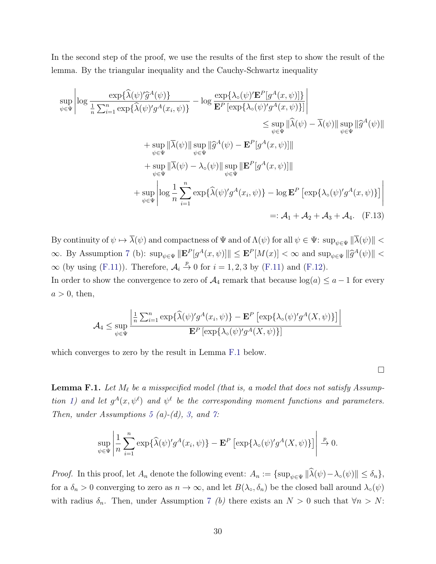In the second step of the proof, we use the results of the first step to show the result of the lemma. By the triangular inequality and the Cauchy-Schwartz inequality

$$
\sup_{\psi \in \Psi} \left| \log \frac{\exp\{\hat{\lambda}(\psi)'\hat{g}^A(\psi)\}}{\frac{1}{n} \sum_{i=1}^n \exp\{\hat{\lambda}(\psi)'\hat{g}^A(x_i, \psi)\}} - \log \frac{\exp\{\lambda_o(\psi)'\mathbf{E}^P[g^A(x, \psi)]\}}{\mathbf{E}^P[\exp\{\lambda_o(\psi)'\hat{g}^A(x, \psi)\}]}\right|
$$
\n
$$
\leq \sup_{\psi \in \Psi} \|\hat{\lambda}(\psi) - \bar{\lambda}(\psi)\| \sup_{\psi \in \Psi} \|\hat{g}^A(\psi)\|
$$
\n
$$
+ \sup_{\psi \in \Psi} \|\bar{\lambda}(\psi)\| \sup_{\psi \in \Psi} \|\hat{g}^A(\psi) - \mathbf{E}^P[g^A(x, \psi)]\|
$$
\n
$$
+ \sup_{\psi \in \Psi} \|\bar{\lambda}(\psi) - \lambda_o(\psi)\| \sup_{\psi \in \Psi} \|\mathbf{E}^P[g^A(x, \psi)]\|
$$
\n
$$
+ \sup_{\psi \in \Psi} \left| \log \frac{1}{n} \sum_{i=1}^n \exp\{\hat{\lambda}(\psi)'\hat{g}^A(x_i, \psi)\} - \log \mathbf{E}^P[\exp\{\lambda_o(\psi)'\hat{g}^A(x, \psi)\}\right| \right|
$$
\n
$$
=: \mathcal{A}_1 + \mathcal{A}_2 + \mathcal{A}_3 + \mathcal{A}_4. \quad \text{(F.13)}
$$

By continuity of  $\psi \mapsto \overline{\lambda}(\psi)$  and compactness of  $\Psi$  and of  $\Lambda(\psi)$  for all  $\psi \in \Psi$ :  $\sup_{\psi \in \Psi} \|\overline{\lambda}(\psi)\|$  <  $\infty$ . By Assumption [7](#page-4-1) (b):  $\sup_{\psi \in \Psi} \|\mathbf{E}^P[g^A(x,\psi)]\| \leq \mathbf{E}^P[M(x)] < \infty$  and  $\sup_{\psi \in \Psi} \|\widehat{g}^A(\psi)\| < \infty$  $\infty$  (by using [\(F.11\)](#page-28-0)). Therefore,  $\mathcal{A}_i \stackrel{p}{\rightarrow} 0$  for  $i = 1, 2, 3$  by (F.11) and [\(F.12\)](#page-28-1).

In order to show the convergence to zero of  $A_4$  remark that because  $log(a) \le a - 1$  for every  $a > 0$ , then,

$$
\mathcal{A}_4 \le \sup_{\psi \in \Psi} \frac{\left| \frac{1}{n} \sum_{i=1}^n \exp\{\widehat{\lambda}(\psi)' g^A(x_i, \psi)\} - \mathbf{E}^P \left[ \exp\{\lambda \circ (\psi)' g^A(X, \psi)\} \right] \right|}{\mathbf{E}^P \left[ \exp\{\lambda \circ (\psi)' g^A(X, \psi)\} \right]}
$$

which converges to zero by the result in Lemma [F.1](#page-29-0) below.

 $\Box$ 

<span id="page-29-0"></span>**Lemma F.1.** Let  $M_\ell$  be a misspecified model (that is, a model that does not satisfy Assump-tion [1\)](#page-0-0) and let  $g^A(x, \psi^{\ell})$  and  $\psi^{\ell}$  be the corresponding moment functions and parameters. Then, under Assumptions [5](#page-3-1) (a)-(d), [3,](#page-0-0) and [7:](#page-4-1)

$$
\sup_{\psi \in \Psi} \left| \frac{1}{n} \sum_{i=1}^n \exp\{\widehat{\lambda}(\psi)' g^A(x_i, \psi)\} - \mathbf{E}^P \left[ \exp\{\lambda \circ (\psi)' g^A(X, \psi)\} \right] \right| \xrightarrow{p} 0.
$$

*Proof.* In this proof, let  $A_n$  denote the following event:  $A_n := {\sup_{\psi \in \Psi} ||\widehat{\lambda}(\psi) - \lambda_o(\psi)|| \le \delta_n}$ , for a  $\delta_n > 0$  converging to zero as  $n \to \infty$ , and let  $B(\lambda_0, \delta_n)$  be the closed ball around  $\lambda_0(\psi)$ with radius  $\delta_n$ . Then, under Assumption [7](#page-4-1) (b) there exists an  $N > 0$  such that  $\forall n > N$ :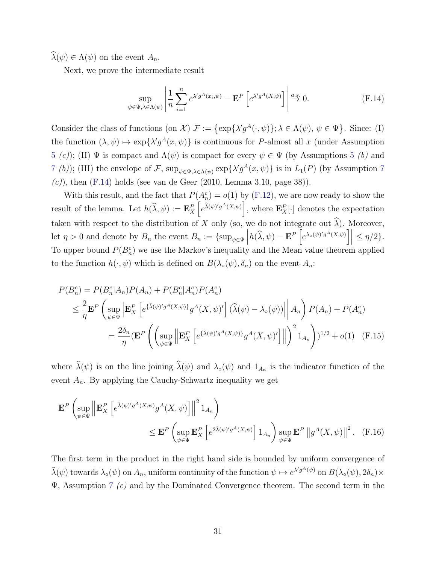$\lambda(\psi) \in \Lambda(\psi)$  on the event  $A_n$ .

Next, we prove the intermediate result

<span id="page-30-0"></span>
$$
\sup_{\psi \in \Psi, \lambda \in \Lambda(\psi)} \left| \frac{1}{n} \sum_{i=1}^{n} e^{\lambda' g^A(x_i, \psi)} - \mathbf{E}^P \left[ e^{\lambda' g^A(X, \psi)} \right] \right| \stackrel{a.s.}{\to} 0. \tag{F.14}
$$

Consider the class of functions (on  $\mathcal{X}$ )  $\mathcal{F} := {\exp{\{\lambda'g^A(\cdot,\psi)\}}; \lambda \in \Lambda(\psi), \psi \in \Psi}.$  Since: (I) the function  $(\lambda, \psi) \mapsto \exp{\{\lambda' g^A(x, \psi)\}}$  is continuous for P-almost all x (under Assumption [5](#page-3-1) (c)); (II) Ψ is compact and  $\Lambda(\psi)$  is compact for every  $\psi \in \Psi$  (by Assumptions 5 (b) and [7](#page-4-1) (b)); (III) the envelope of F,  $\sup_{\psi \in \Psi, \lambda \in \Lambda(\psi)} \exp\{\lambda' g^A(x, \psi)\}\$ is in  $L_1(P)$  (by Assumption 7  $(c)$ , then [\(F.14\)](#page-30-0) holds (see [van de Geer](#page-32-2) [\(2010,](#page-32-2) Lemma 3.10, page 38)).

With this result, and the fact that  $P(A_n^c) = o(1)$  by [\(F.12\)](#page-28-1), we are now ready to show the result of the lemma. Let  $h(\widehat{\lambda}, \psi) := \mathbf{E}_X^P \left[ e^{\widehat{\lambda}(\psi)' g^A(X, \psi)} \right]$ , where  $\mathbf{E}_X^P[\cdot]$  denotes the expectation taken with respect to the distribution of X only (so, we do not integrate out  $\widehat{\lambda}$ ). Moreover, let  $\eta > 0$  and denote by  $B_n$  the event  $B_n := {\sup_{\psi \in \Psi}} |h(\widehat{\lambda}, \psi) - \mathbf{E}^P [e^{\lambda_0(\psi)' g^A(X, \psi)}] | \leq \eta/2$ . To upper bound  $P(B_n^c)$  we use the Markov's inequality and the Mean value theorem applied to the function  $h(\cdot, \psi)$  which is defined on  $B(\lambda_{\circ}(\psi), \delta_{n})$  on the event  $A_{n}$ :

<span id="page-30-1"></span>
$$
P(B_n^c) = P(B_n^c | A_n) P(A_n) + P(B_n^c | A_n^c) P(A_n^c)
$$
  
\n
$$
\leq \frac{2}{\eta} \mathbf{E}^P \left( \sup_{\psi \in \Psi} \left| \mathbf{E}_X^P \left[ e^{ \{\tilde{\lambda}(\psi)' g^A(X, \psi)\}} g^A(X, \psi)' \right] (\widehat{\lambda}(\psi) - \lambda_o(\psi)) \right| \right| A_n \right) P(A_n) + P(A_n^c)
$$
  
\n
$$
= \frac{2\delta_n}{\eta} (\mathbf{E}^P \left( \left( \sup_{\psi \in \Psi} \left\| \mathbf{E}_X^P \left[ e^{\{\tilde{\lambda}(\psi)' g^A(X, \psi)\}} g^A(X, \psi)' \right] \right\| \right)^2 1_{A_n} \right)^{1/2} + o(1) \quad \text{(F.15)}
$$

where  $\tilde{\lambda}(\psi)$  is on the line joining  $\hat{\lambda}(\psi)$  and  $\lambda_o(\psi)$  and  $1_{A_n}$  is the indicator function of the event  $A_n$ . By applying the Cauchy-Schwartz inequality we get

<span id="page-30-2"></span>
$$
\mathbf{E}^{P}\left(\sup_{\psi \in \Psi}\left\|\mathbf{E}_{X}^{P}\left[e^{\tilde{\lambda}(\psi)'g^{A}(X,\psi)}g^{A}(X,\psi)\right]\right\|^{2}1_{A_{n}}\right) \leq \mathbf{E}^{P}\left(\sup_{\psi \in \Psi}\mathbf{E}_{X}^{P}\left[e^{2\tilde{\lambda}(\psi)'g^{A}(X,\psi)}\right]1_{A_{n}}\right)\sup_{\psi \in \Psi}\mathbf{E}^{P}\left\|g^{A}(X,\psi)\right\|^{2}.\tag{F.16}
$$

The first term in the product in the right hand side is bounded by uniform convergence of  $\tilde{\lambda}(\psi)$  towards  $\lambda_{\circ}(\psi)$  on  $A_n$ , uniform continuity of the function  $\psi \mapsto e^{\lambda' g^{A}(\psi)}$  on  $B(\lambda_{\circ}(\psi), 2\delta_n) \times$  $\Psi$ , Assumption [7](#page-4-1) (c) and by the Dominated Convergence theorem. The second term in the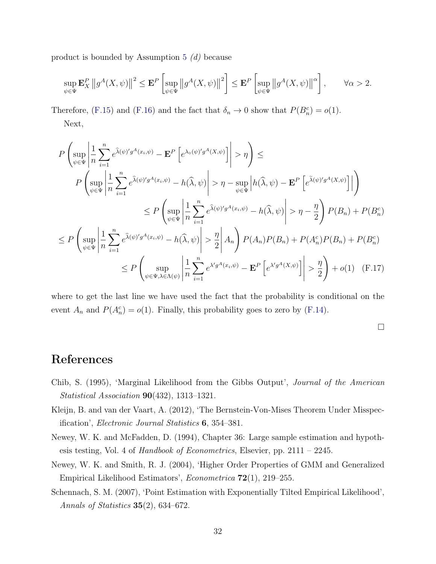product is bounded by Assumption [5](#page-3-1) (d) because

$$
\sup_{\psi \in \Psi} \mathbf{E}_X^P \|g^A(X, \psi)\|^2 \le \mathbf{E}^P \left[ \sup_{\psi \in \Psi} \left\|g^A(X, \psi)\right\|^2 \right] \le \mathbf{E}^P \left[ \sup_{\psi \in \Psi} \left\|g^A(X, \psi)\right\|^{\alpha} \right], \qquad \forall \alpha > 2.
$$

Therefore, [\(F.15\)](#page-30-1) and [\(F.16\)](#page-30-2) and the fact that  $\delta_n \to 0$  show that  $P(B_n^c) = o(1)$ . Next,

$$
P\left(\sup_{\psi\in\Psi}\left|\frac{1}{n}\sum_{i=1}^{n}e^{\hat{\lambda}(\psi)'g^{A}(x_{i},\psi)} - \mathbf{E}^{P}\left[e^{\lambda_{\circ}(\psi)'g^{A}(X,\psi)}\right]\right| > \eta\right) \le
$$
  
\n
$$
P\left(\sup_{\psi\in\Psi}\left|\frac{1}{n}\sum_{i=1}^{n}e^{\hat{\lambda}(\psi)'g^{A}(x_{i},\psi)} - h(\hat{\lambda},\psi)\right| > \eta - \sup_{\psi\in\Psi}\left|h(\hat{\lambda},\psi) - \mathbf{E}^{P}\left[e^{\tilde{\lambda}(\psi)'g^{A}(X,\psi)}\right]\right|\right)
$$
  
\n
$$
\leq P\left(\sup_{\psi\in\Psi}\left|\frac{1}{n}\sum_{i=1}^{n}e^{\hat{\lambda}(\psi)'g^{A}(x_{i},\psi)} - h(\hat{\lambda},\psi)\right| > \eta - \frac{\eta}{2}\right)P(B_{n}) + P(B_{n}^{c})
$$
  
\n
$$
\leq P\left(\sup_{\psi\in\Psi}\left|\frac{1}{n}\sum_{i=1}^{n}e^{\hat{\lambda}(\psi)'g^{A}(x_{i},\psi)} - h(\hat{\lambda},\psi)\right| > \frac{\eta}{2}\right|A_{n}\right)P(A_{n})P(B_{n}) + P(A_{n}^{c})P(B_{n}) + P(B_{n}^{c})
$$
  
\n
$$
\leq P\left(\sup_{\psi\in\Psi,\lambda\in\Lambda(\psi)}\left|\frac{1}{n}\sum_{i=1}^{n}e^{\lambda'g^{A}(x_{i},\psi)} - \mathbf{E}^{P}\left[e^{\lambda'g^{A}(X,\psi)}\right]\right| > \frac{\eta}{2}\right) + o(1) \quad \text{(F.17)}
$$

where to get the last line we have used the fact that the probability is conditional on the event  $A_n$  and  $P(A_n^c) = o(1)$ . Finally, this probability goes to zero by [\(F.14\)](#page-30-0).

 $\Box$ 

## References

- <span id="page-31-0"></span>Chib, S. (1995), 'Marginal Likelihood from the Gibbs Output', Journal of the American Statistical Association 90(432), 1313–1321.
- <span id="page-31-3"></span>Kleijn, B. and van der Vaart, A. (2012), 'The Bernstein-Von-Mises Theorem Under Misspecification', Electronic Journal Statistics 6, 354–381.
- <span id="page-31-4"></span>Newey, W. K. and McFadden, D. (1994), Chapter 36: Large sample estimation and hypothesis testing, Vol. 4 of Handbook of Econometrics, Elsevier, pp.  $2111 - 2245$ .
- <span id="page-31-1"></span>Newey, W. K. and Smith, R. J. (2004), 'Higher Order Properties of GMM and Generalized Empirical Likelihood Estimators', Econometrica 72(1), 219–255.
- <span id="page-31-2"></span>Schennach, S. M. (2007), 'Point Estimation with Exponentially Tilted Empirical Likelihood', Annals of Statistics  $35(2)$ , 634–672.